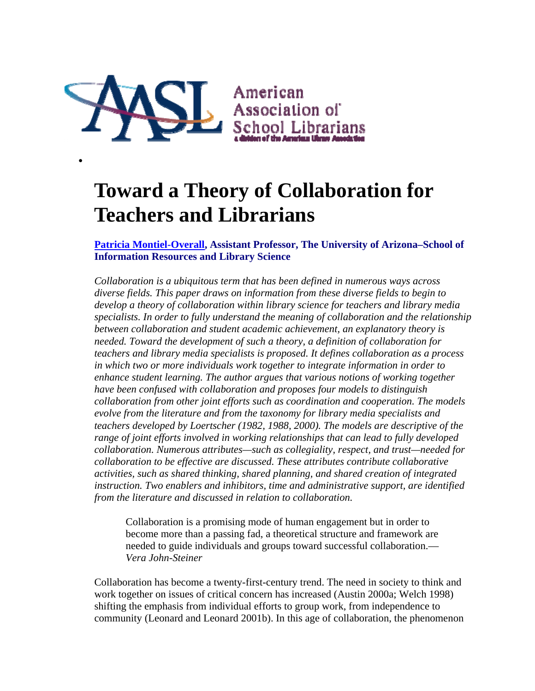

 $\bullet$ 

# **Toward a Theory of Collaboration for Teachers and Librarians**

**Patricia Montiel-Overall, Assistant Professor, The University of Arizona–School of Information Resources and Library Science**

*Collaboration is a ubiquitous term that has been defined in numerous ways across diverse fields. This paper draws on information from these diverse fields to begin to develop a theory of collaboration within library science for teachers and library media specialists. In order to fully understand the meaning of collaboration and the relationship between collaboration and student academic achievement, an explanatory theory is needed. Toward the development of such a theory, a definition of collaboration for teachers and library media specialists is proposed. It defines collaboration as a process in which two or more individuals work together to integrate information in order to enhance student learning. The author argues that various notions of working together have been confused with collaboration and proposes four models to distinguish collaboration from other joint efforts such as coordination and cooperation. The models evolve from the literature and from the taxonomy for library media specialists and teachers developed by Loertscher (1982, 1988, 2000). The models are descriptive of the range of joint efforts involved in working relationships that can lead to fully developed collaboration. Numerous attributes—such as collegiality, respect, and trust—needed for collaboration to be effective are discussed. These attributes contribute collaborative activities, such as shared thinking, shared planning, and shared creation of integrated instruction. Two enablers and inhibitors, time and administrative support, are identified from the literature and discussed in relation to collaboration.*

Collaboration is a promising mode of human engagement but in order to become more than a passing fad, a theoretical structure and framework are needed to guide individuals and groups toward successful collaboration.— *Vera John-Steiner*

Collaboration has become a twenty-first-century trend. The need in society to think and work together on issues of critical concern has increased (Austin 2000a; Welch 1998) shifting the emphasis from individual efforts to group work, from independence to community (Leonard and Leonard 2001b). In this age of collaboration, the phenomenon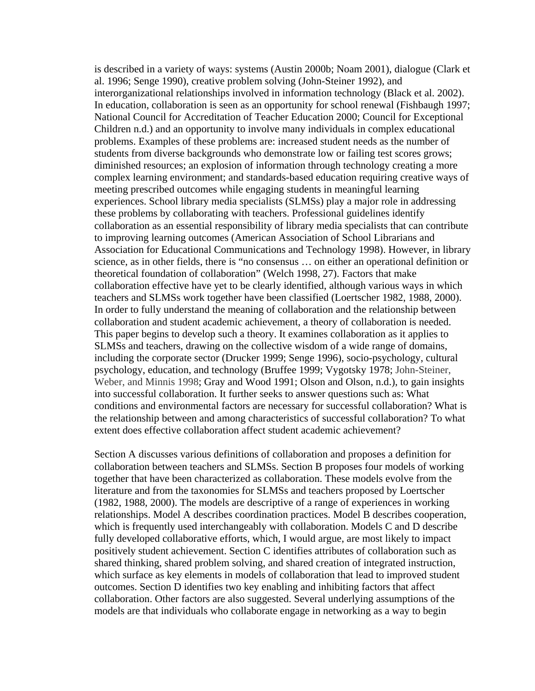is described in a variety of ways: systems (Austin 2000b; Noam 2001), dialogue (Clark et al. 1996; Senge 1990), creative problem solving (John-Steiner 1992), and interorganizational relationships involved in information technology (Black et al. 2002). In education, collaboration is seen as an opportunity for school renewal (Fishbaugh 1997; National Council for Accreditation of Teacher Education 2000; Council for Exceptional Children n.d.) and an opportunity to involve many individuals in complex educational problems. Examples of these problems are: increased student needs as the number of students from diverse backgrounds who demonstrate low or failing test scores grows; diminished resources; an explosion of information through technology creating a more complex learning environment; and standards-based education requiring creative ways of meeting prescribed outcomes while engaging students in meaningful learning experiences. School library media specialists (SLMSs) play a major role in addressing these problems by collaborating with teachers. Professional guidelines identify collaboration as an essential responsibility of library media specialists that can contribute to improving learning outcomes (American Association of School Librarians and Association for Educational Communications and Technology 1998). However, in library science, as in other fields, there is "no consensus … on either an operational definition or theoretical foundation of collaboration" (Welch 1998, 27). Factors that make collaboration effective have yet to be clearly identified, although various ways in which teachers and SLMSs work together have been classified (Loertscher 1982, 1988, 2000). In order to fully understand the meaning of collaboration and the relationship between collaboration and student academic achievement, a theory of collaboration is needed. This paper begins to develop such a theory. It examines collaboration as it applies to SLMSs and teachers, drawing on the collective wisdom of a wide range of domains, including the corporate sector (Drucker 1999; Senge 1996), socio-psychology, cultural psychology, education, and technology (Bruffee 1999; Vygotsky 1978; John-Steiner, Weber, and Minnis 1998; Gray and Wood 1991; Olson and Olson, n.d.), to gain insights into successful collaboration. It further seeks to answer questions such as: What conditions and environmental factors are necessary for successful collaboration? What is the relationship between and among characteristics of successful collaboration? To what extent does effective collaboration affect student academic achievement?

Section A discusses various definitions of collaboration and proposes a definition for collaboration between teachers and SLMSs. Section B proposes four models of working together that have been characterized as collaboration. These models evolve from the literature and from the taxonomies for SLMSs and teachers proposed by Loertscher (1982, 1988, 2000). The models are descriptive of a range of experiences in working relationships. Model A describes coordination practices. Model B describes cooperation, which is frequently used interchangeably with collaboration. Models C and D describe fully developed collaborative efforts, which, I would argue, are most likely to impact positively student achievement. Section C identifies attributes of collaboration such as shared thinking, shared problem solving, and shared creation of integrated instruction, which surface as key elements in models of collaboration that lead to improved student outcomes. Section D identifies two key enabling and inhibiting factors that affect collaboration. Other factors are also suggested. Several underlying assumptions of the models are that individuals who collaborate engage in networking as a way to begin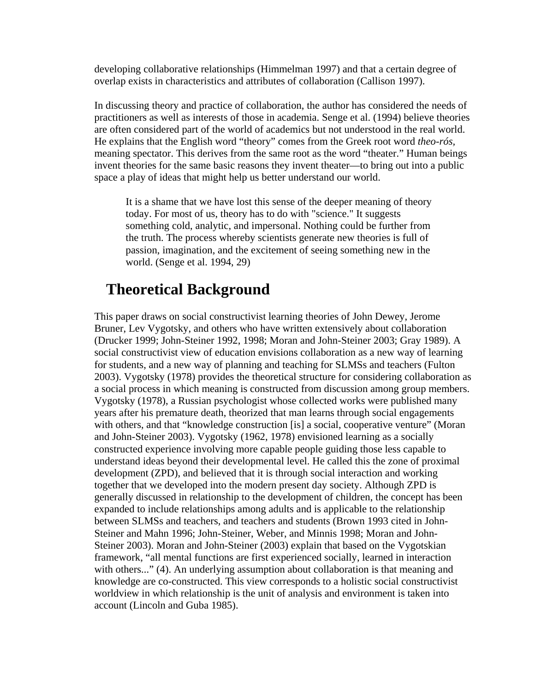developing collaborative relationships (Himmelman 1997) and that a certain degree of overlap exists in characteristics and attributes of collaboration (Callison 1997).

In discussing theory and practice of collaboration, the author has considered the needs of practitioners as well as interests of those in academia. Senge et al. (1994) believe theories are often considered part of the world of academics but not understood in the real world. He explains that the English word "theory" comes from the Greek root word *theo-rós,* meaning spectator. This derives from the same root as the word "theater." Human beings invent theories for the same basic reasons they invent theater—to bring out into a public space a play of ideas that might help us better understand our world.

It is a shame that we have lost this sense of the deeper meaning of theory today. For most of us, theory has to do with "science." It suggests something cold, analytic, and impersonal. Nothing could be further from the truth. The process whereby scientists generate new theories is full of passion, imagination, and the excitement of seeing something new in the world. (Senge et al. 1994, 29)

# **Theoretical Background**

This paper draws on social constructivist learning theories of John Dewey, Jerome Bruner, Lev Vygotsky, and others who have written extensively about collaboration (Drucker 1999; John-Steiner 1992, 1998; Moran and John-Steiner 2003; Gray 1989). A social constructivist view of education envisions collaboration as a new way of learning for students, and a new way of planning and teaching for SLMSs and teachers (Fulton 2003). Vygotsky (1978) provides the theoretical structure for considering collaboration as a social process in which meaning is constructed from discussion among group members. Vygotsky (1978), a Russian psychologist whose collected works were published many years after his premature death, theorized that man learns through social engagements with others, and that "knowledge construction [is] a social, cooperative venture" (Moran and John-Steiner 2003). Vygotsky (1962, 1978) envisioned learning as a socially constructed experience involving more capable people guiding those less capable to understand ideas beyond their developmental level. He called this the zone of proximal development (ZPD), and believed that it is through social interaction and working together that we developed into the modern present day society. Although ZPD is generally discussed in relationship to the development of children, the concept has been expanded to include relationships among adults and is applicable to the relationship between SLMSs and teachers, and teachers and students (Brown 1993 cited in John-Steiner and Mahn 1996; John-Steiner, Weber, and Minnis 1998; Moran and John-Steiner 2003). Moran and John-Steiner (2003) explain that based on the Vygotskian framework, "all mental functions are first experienced socially, learned in interaction with others..." (4). An underlying assumption about collaboration is that meaning and knowledge are co-constructed. This view corresponds to a holistic social constructivist worldview in which relationship is the unit of analysis and environment is taken into account (Lincoln and Guba 1985).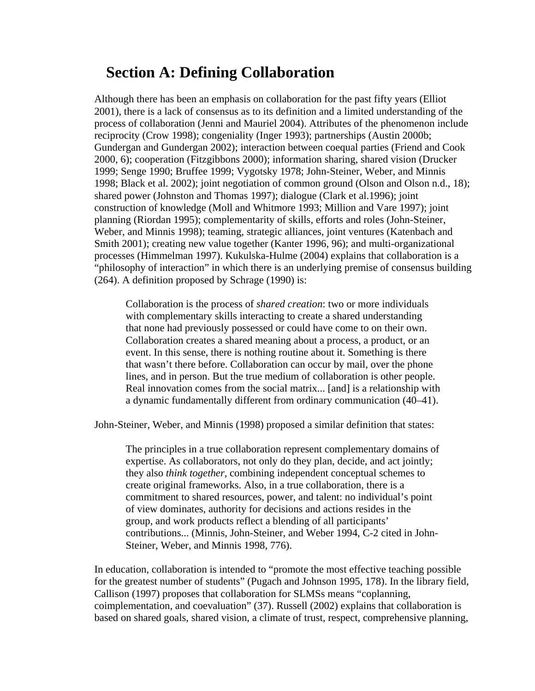# **Section A: Defining Collaboration**

Although there has been an emphasis on collaboration for the past fifty years (Elliot 2001), there is a lack of consensus as to its definition and a limited understanding of the process of collaboration (Jenni and Mauriel 2004). Attributes of the phenomenon include reciprocity (Crow 1998); congeniality (Inger 1993); partnerships (Austin 2000b; Gundergan and Gundergan 2002); interaction between coequal parties (Friend and Cook 2000, 6); cooperation (Fitzgibbons 2000); information sharing, shared vision (Drucker 1999; Senge 1990; Bruffee 1999; Vygotsky 1978; John-Steiner, Weber, and Minnis 1998; Black et al. 2002); joint negotiation of common ground (Olson and Olson n.d., 18); shared power (Johnston and Thomas 1997); dialogue (Clark et al.1996); joint construction of knowledge (Moll and Whitmore 1993; Million and Vare 1997); joint planning (Riordan 1995); complementarity of skills, efforts and roles (John-Steiner, Weber, and Minnis 1998); teaming, strategic alliances, joint ventures (Katenbach and Smith 2001); creating new value together (Kanter 1996, 96); and multi-organizational processes (Himmelman 1997). Kukulska-Hulme (2004) explains that collaboration is a "philosophy of interaction" in which there is an underlying premise of consensus building (264). A definition proposed by Schrage (1990) is:

Collaboration is the process of *shared creation*: two or more individuals with complementary skills interacting to create a shared understanding that none had previously possessed or could have come to on their own. Collaboration creates a shared meaning about a process, a product, or an event. In this sense, there is nothing routine about it. Something is there that wasn't there before. Collaboration can occur by mail, over the phone lines, and in person. But the true medium of collaboration is other people. Real innovation comes from the social matrix... [and] is a relationship with a dynamic fundamentally different from ordinary communication (40–41).

John-Steiner, Weber, and Minnis (1998) proposed a similar definition that states:

The principles in a true collaboration represent complementary domains of expertise. As collaborators, not only do they plan, decide, and act jointly; they also *think together,* combining independent conceptual schemes to create original frameworks. Also, in a true collaboration, there is a commitment to shared resources, power, and talent: no individual's point of view dominates, authority for decisions and actions resides in the group, and work products reflect a blending of all participants' contributions... (Minnis, John-Steiner, and Weber 1994, C-2 cited in John-Steiner, Weber, and Minnis 1998, 776).

In education, collaboration is intended to "promote the most effective teaching possible for the greatest number of students" (Pugach and Johnson 1995, 178). In the library field, Callison (1997) proposes that collaboration for SLMSs means "coplanning, coimplementation, and coevaluation" (37). Russell (2002) explains that collaboration is based on shared goals, shared vision, a climate of trust, respect, comprehensive planning,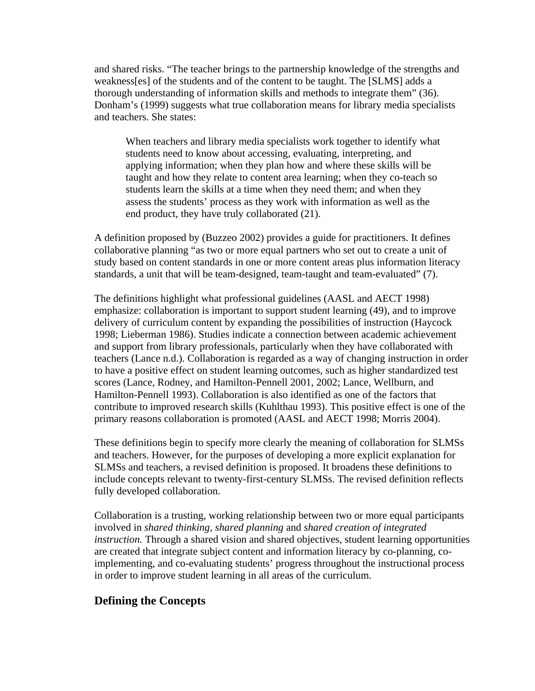and shared risks. "The teacher brings to the partnership knowledge of the strengths and weakness[es] of the students and of the content to be taught. The [SLMS] adds a thorough understanding of information skills and methods to integrate them" (36). Donham's (1999) suggests what true collaboration means for library media specialists and teachers. She states:

When teachers and library media specialists work together to identify what students need to know about accessing, evaluating, interpreting, and applying information; when they plan how and where these skills will be taught and how they relate to content area learning; when they co-teach so students learn the skills at a time when they need them; and when they assess the students' process as they work with information as well as the end product, they have truly collaborated (21).

A definition proposed by (Buzzeo 2002) provides a guide for practitioners. It defines collaborative planning "as two or more equal partners who set out to create a unit of study based on content standards in one or more content areas plus information literacy standards, a unit that will be team-designed, team-taught and team-evaluated" (7).

The definitions highlight what professional guidelines (AASL and AECT 1998) emphasize: collaboration is important to support student learning (49), and to improve delivery of curriculum content by expanding the possibilities of instruction (Haycock 1998; Lieberman 1986). Studies indicate a connection between academic achievement and support from library professionals, particularly when they have collaborated with teachers (Lance n.d.). Collaboration is regarded as a way of changing instruction in order to have a positive effect on student learning outcomes, such as higher standardized test scores (Lance, Rodney, and Hamilton-Pennell 2001, 2002; Lance, Wellburn, and Hamilton-Pennell 1993). Collaboration is also identified as one of the factors that contribute to improved research skills (Kuhlthau 1993). This positive effect is one of the primary reasons collaboration is promoted (AASL and AECT 1998; Morris 2004).

These definitions begin to specify more clearly the meaning of collaboration for SLMSs and teachers. However, for the purposes of developing a more explicit explanation for SLMSs and teachers, a revised definition is proposed. It broadens these definitions to include concepts relevant to twenty-first-century SLMSs. The revised definition reflects fully developed collaboration.

Collaboration is a trusting, working relationship between two or more equal participants involved in *shared thinking, shared planning* and *shared creation of integrated instruction.* Through a shared vision and shared objectives, student learning opportunities are created that integrate subject content and information literacy by co-planning, coimplementing, and co-evaluating students' progress throughout the instructional process in order to improve student learning in all areas of the curriculum.

## **Defining the Concepts**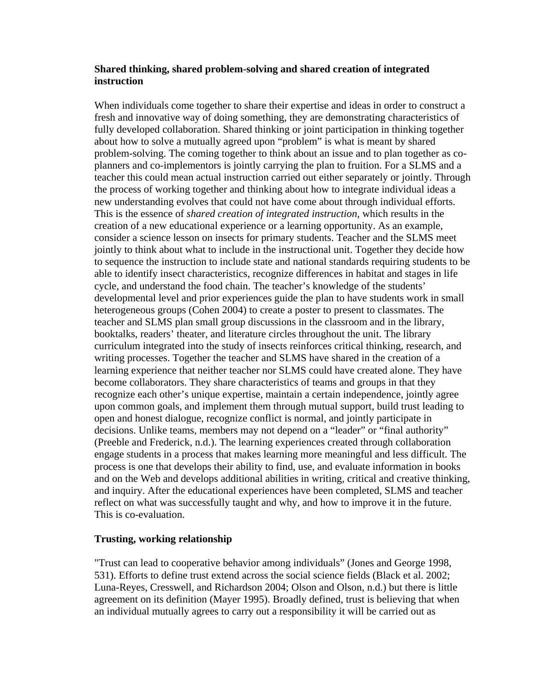#### **Shared thinking, shared problem-solving and shared creation of integrated instruction**

When individuals come together to share their expertise and ideas in order to construct a fresh and innovative way of doing something, they are demonstrating characteristics of fully developed collaboration. Shared thinking or joint participation in thinking together about how to solve a mutually agreed upon "problem" is what is meant by shared problem-solving. The coming together to think about an issue and to plan together as coplanners and co-implementors is jointly carrying the plan to fruition. For a SLMS and a teacher this could mean actual instruction carried out either separately or jointly. Through the process of working together and thinking about how to integrate individual ideas a new understanding evolves that could not have come about through individual efforts. This is the essence of *shared creation of integrated instruction,* which results in the creation of a new educational experience or a learning opportunity. As an example, consider a science lesson on insects for primary students. Teacher and the SLMS meet jointly to think about what to include in the instructional unit. Together they decide how to sequence the instruction to include state and national standards requiring students to be able to identify insect characteristics, recognize differences in habitat and stages in life cycle, and understand the food chain. The teacher's knowledge of the students' developmental level and prior experiences guide the plan to have students work in small heterogeneous groups (Cohen 2004) to create a poster to present to classmates. The teacher and SLMS plan small group discussions in the classroom and in the library, booktalks, readers' theater, and literature circles throughout the unit. The library curriculum integrated into the study of insects reinforces critical thinking, research, and writing processes. Together the teacher and SLMS have shared in the creation of a learning experience that neither teacher nor SLMS could have created alone. They have become collaborators. They share characteristics of teams and groups in that they recognize each other's unique expertise, maintain a certain independence, jointly agree upon common goals, and implement them through mutual support, build trust leading to open and honest dialogue, recognize conflict is normal, and jointly participate in decisions. Unlike teams, members may not depend on a "leader" or "final authority" (Preeble and Frederick, n.d.). The learning experiences created through collaboration engage students in a process that makes learning more meaningful and less difficult. The process is one that develops their ability to find, use, and evaluate information in books and on the Web and develops additional abilities in writing, critical and creative thinking, and inquiry. After the educational experiences have been completed, SLMS and teacher reflect on what was successfully taught and why, and how to improve it in the future. This is co-evaluation.

#### **Trusting, working relationship**

"Trust can lead to cooperative behavior among individuals" (Jones and George 1998, 531). Efforts to define trust extend across the social science fields (Black et al. 2002; Luna-Reyes, Cresswell, and Richardson 2004; Olson and Olson, n.d.) but there is little agreement on its definition (Mayer 1995). Broadly defined, trust is believing that when an individual mutually agrees to carry out a responsibility it will be carried out as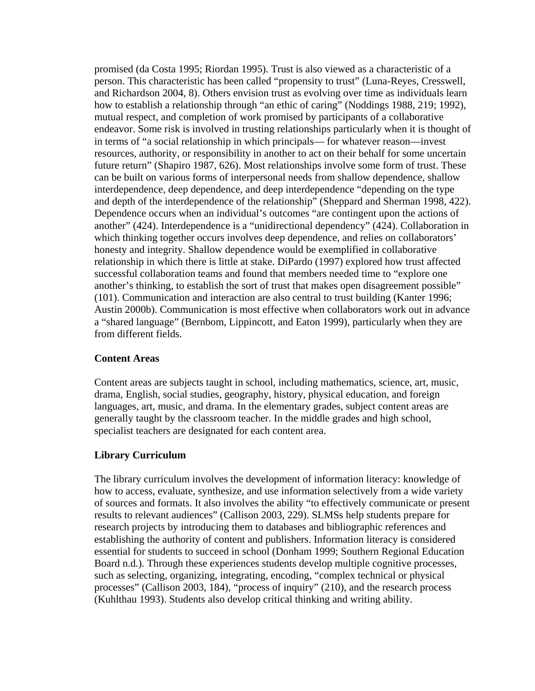promised (da Costa 1995; Riordan 1995). Trust is also viewed as a characteristic of a person. This characteristic has been called "propensity to trust" (Luna-Reyes, Cresswell, and Richardson 2004, 8). Others envision trust as evolving over time as individuals learn how to establish a relationship through "an ethic of caring" (Noddings 1988, 219; 1992), mutual respect, and completion of work promised by participants of a collaborative endeavor. Some risk is involved in trusting relationships particularly when it is thought of in terms of "a social relationship in which principals— for whatever reason—invest resources, authority, or responsibility in another to act on their behalf for some uncertain future return" (Shapiro 1987, 626). Most relationships involve some form of trust. These can be built on various forms of interpersonal needs from shallow dependence, shallow interdependence, deep dependence, and deep interdependence "depending on the type and depth of the interdependence of the relationship" (Sheppard and Sherman 1998, 422). Dependence occurs when an individual's outcomes "are contingent upon the actions of another" (424). Interdependence is a "unidirectional dependency" (424). Collaboration in which thinking together occurs involves deep dependence, and relies on collaborators' honesty and integrity. Shallow dependence would be exemplified in collaborative relationship in which there is little at stake. DiPardo (1997) explored how trust affected successful collaboration teams and found that members needed time to "explore one another's thinking, to establish the sort of trust that makes open disagreement possible" (101). Communication and interaction are also central to trust building (Kanter 1996; Austin 2000b). Communication is most effective when collaborators work out in advance a "shared language" (Bernbom, Lippincott, and Eaton 1999), particularly when they are from different fields.

#### **Content Areas**

Content areas are subjects taught in school, including mathematics, science, art, music, drama, English, social studies, geography, history, physical education, and foreign languages, art, music, and drama. In the elementary grades, subject content areas are generally taught by the classroom teacher. In the middle grades and high school, specialist teachers are designated for each content area.

#### **Library Curriculum**

The library curriculum involves the development of information literacy: knowledge of how to access, evaluate, synthesize, and use information selectively from a wide variety of sources and formats. It also involves the ability "to effectively communicate or present results to relevant audiences" (Callison 2003, 229). SLMSs help students prepare for research projects by introducing them to databases and bibliographic references and establishing the authority of content and publishers. Information literacy is considered essential for students to succeed in school (Donham 1999; Southern Regional Education Board n.d.). Through these experiences students develop multiple cognitive processes, such as selecting, organizing, integrating, encoding, "complex technical or physical processes" (Callison 2003, 184), "process of inquiry" (210), and the research process (Kuhlthau 1993). Students also develop critical thinking and writing ability.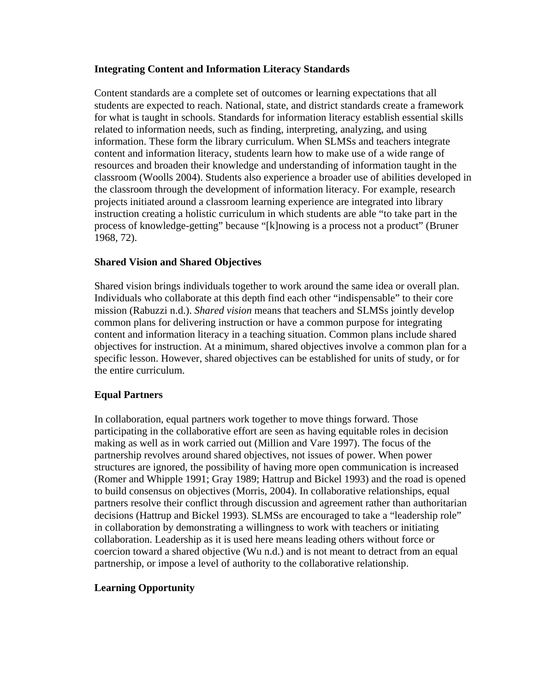### **Integrating Content and Information Literacy Standards**

Content standards are a complete set of outcomes or learning expectations that all students are expected to reach. National, state, and district standards create a framework for what is taught in schools. Standards for information literacy establish essential skills related to information needs, such as finding, interpreting, analyzing, and using information. These form the library curriculum. When SLMSs and teachers integrate content and information literacy, students learn how to make use of a wide range of resources and broaden their knowledge and understanding of information taught in the classroom (Woolls 2004). Students also experience a broader use of abilities developed in the classroom through the development of information literacy. For example, research projects initiated around a classroom learning experience are integrated into library instruction creating a holistic curriculum in which students are able "to take part in the process of knowledge-getting" because "[k]nowing is a process not a product" (Bruner 1968, 72).

## **Shared Vision and Shared Objectives**

Shared vision brings individuals together to work around the same idea or overall plan. Individuals who collaborate at this depth find each other "indispensable" to their core mission (Rabuzzi n.d.). *Shared vision* means that teachers and SLMSs jointly develop common plans for delivering instruction or have a common purpose for integrating content and information literacy in a teaching situation. Common plans include shared objectives for instruction. At a minimum, shared objectives involve a common plan for a specific lesson. However, shared objectives can be established for units of study, or for the entire curriculum.

## **Equal Partners**

In collaboration, equal partners work together to move things forward. Those participating in the collaborative effort are seen as having equitable roles in decision making as well as in work carried out (Million and Vare 1997). The focus of the partnership revolves around shared objectives, not issues of power. When power structures are ignored, the possibility of having more open communication is increased (Romer and Whipple 1991; Gray 1989; Hattrup and Bickel 1993) and the road is opened to build consensus on objectives (Morris, 2004). In collaborative relationships, equal partners resolve their conflict through discussion and agreement rather than authoritarian decisions (Hattrup and Bickel 1993). SLMSs are encouraged to take a "leadership role" in collaboration by demonstrating a willingness to work with teachers or initiating collaboration. Leadership as it is used here means leading others without force or coercion toward a shared objective (Wu n.d.) and is not meant to detract from an equal partnership, or impose a level of authority to the collaborative relationship.

## **Learning Opportunity**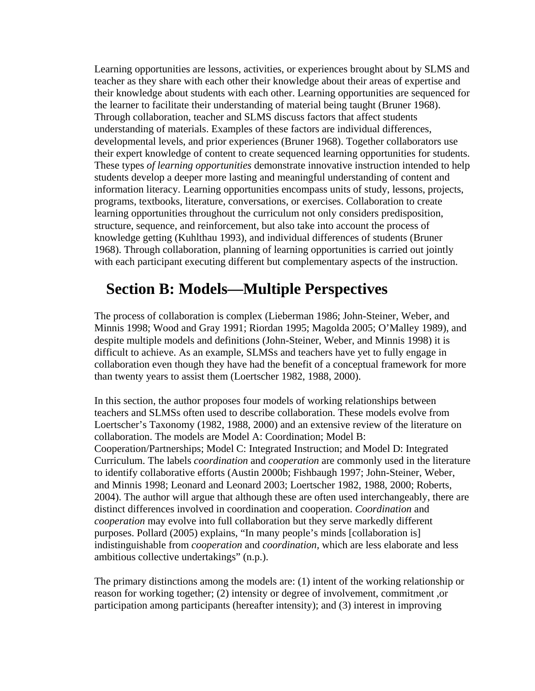Learning opportunities are lessons, activities, or experiences brought about by SLMS and teacher as they share with each other their knowledge about their areas of expertise and their knowledge about students with each other. Learning opportunities are sequenced for the learner to facilitate their understanding of material being taught (Bruner 1968). Through collaboration, teacher and SLMS discuss factors that affect students understanding of materials. Examples of these factors are individual differences, developmental levels, and prior experiences (Bruner 1968). Together collaborators use their expert knowledge of content to create sequenced learning opportunities for students. These types *of learning opportunities* demonstrate innovative instruction intended to help students develop a deeper more lasting and meaningful understanding of content and information literacy. Learning opportunities encompass units of study, lessons, projects, programs, textbooks, literature, conversations, or exercises. Collaboration to create learning opportunities throughout the curriculum not only considers predisposition, structure, sequence, and reinforcement, but also take into account the process of knowledge getting (Kuhlthau 1993), and individual differences of students (Bruner 1968). Through collaboration, planning of learning opportunities is carried out jointly with each participant executing different but complementary aspects of the instruction.

# **Section B: Models—Multiple Perspectives**

The process of collaboration is complex (Lieberman 1986; John-Steiner, Weber, and Minnis 1998; Wood and Gray 1991; Riordan 1995; Magolda 2005; O'Malley 1989), and despite multiple models and definitions (John-Steiner, Weber, and Minnis 1998) it is difficult to achieve. As an example, SLMSs and teachers have yet to fully engage in collaboration even though they have had the benefit of a conceptual framework for more than twenty years to assist them (Loertscher 1982, 1988, 2000).

In this section, the author proposes four models of working relationships between teachers and SLMSs often used to describe collaboration. These models evolve from Loertscher's Taxonomy (1982, 1988, 2000) and an extensive review of the literature on collaboration. The models are Model A: Coordination; Model B: Cooperation/Partnerships; Model C: Integrated Instruction; and Model D: Integrated Curriculum. The labels *coordination* and *cooperation* are commonly used in the literature to identify collaborative efforts (Austin 2000b; Fishbaugh 1997; John-Steiner, Weber, and Minnis 1998; Leonard and Leonard 2003; Loertscher 1982, 1988, 2000; Roberts, 2004). The author will argue that although these are often used interchangeably, there are distinct differences involved in coordination and cooperation. *Coordination* and *cooperation* may evolve into full collaboration but they serve markedly different purposes. Pollard (2005) explains, "In many people's minds [collaboration is] indistinguishable from *cooperation* and *coordination,* which are less elaborate and less ambitious collective undertakings" (n.p.).

The primary distinctions among the models are: (1) intent of the working relationship or reason for working together; (2) intensity or degree of involvement, commitment ,or participation among participants (hereafter intensity); and (3) interest in improving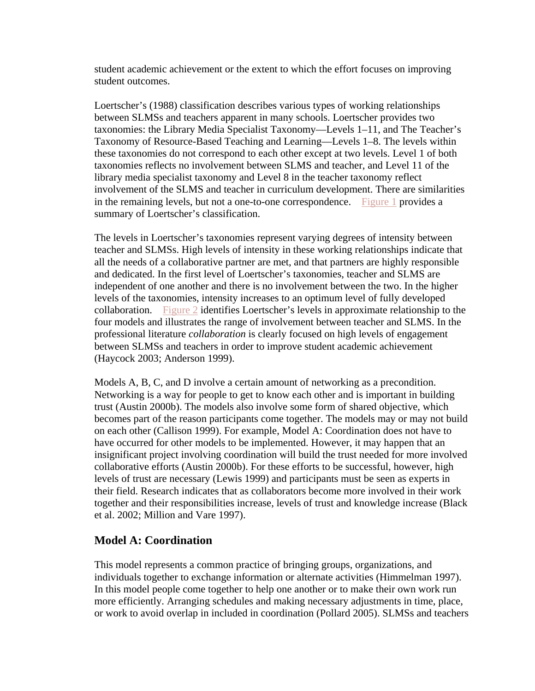student academic achievement or the extent to which the effort focuses on improving student outcomes.

Loertscher's (1988) classification describes various types of working relationships between SLMSs and teachers apparent in many schools. Loertscher provides two taxonomies: the Library Media Specialist Taxonomy—Levels 1–11, and The Teacher's Taxonomy of Resource-Based Teaching and Learning—Levels 1–8. The levels within these taxonomies do not correspond to each other except at two levels. Level 1 of both taxonomies reflects no involvement between SLMS and teacher, and Level 11 of the library media specialist taxonomy and Level 8 in the teacher taxonomy reflect involvement of the SLMS and teacher in curriculum development. There are similarities in the remaining levels, but not a one-to-one correspondence. Figure 1 provides a summary of Loertscher's classification.

The levels in Loertscher's taxonomies represent varying degrees of intensity between teacher and SLMSs. High levels of intensity in these working relationships indicate that all the needs of a collaborative partner are met, and that partners are highly responsible and dedicated. In the first level of Loertscher's taxonomies, teacher and SLMS are independent of one another and there is no involvement between the two. In the higher levels of the taxonomies, intensity increases to an optimum level of fully developed collaboration. Figure 2 identifies Loertscher's levels in approximate relationship to the four models and illustrates the range of involvement between teacher and SLMS. In the professional literature *collaboration* is clearly focused on high levels of engagement between SLMSs and teachers in order to improve student academic achievement (Haycock 2003; Anderson 1999).

Models A, B, C, and D involve a certain amount of networking as a precondition. Networking is a way for people to get to know each other and is important in building trust (Austin 2000b). The models also involve some form of shared objective, which becomes part of the reason participants come together. The models may or may not build on each other (Callison 1999). For example, Model A: Coordination does not have to have occurred for other models to be implemented. However, it may happen that an insignificant project involving coordination will build the trust needed for more involved collaborative efforts (Austin 2000b). For these efforts to be successful, however, high levels of trust are necessary (Lewis 1999) and participants must be seen as experts in their field. Research indicates that as collaborators become more involved in their work together and their responsibilities increase, levels of trust and knowledge increase (Black et al. 2002; Million and Vare 1997).

## **Model A: Coordination**

This model represents a common practice of bringing groups, organizations, and individuals together to exchange information or alternate activities (Himmelman 1997). In this model people come together to help one another or to make their own work run more efficiently. Arranging schedules and making necessary adjustments in time, place, or work to avoid overlap in included in coordination (Pollard 2005). SLMSs and teachers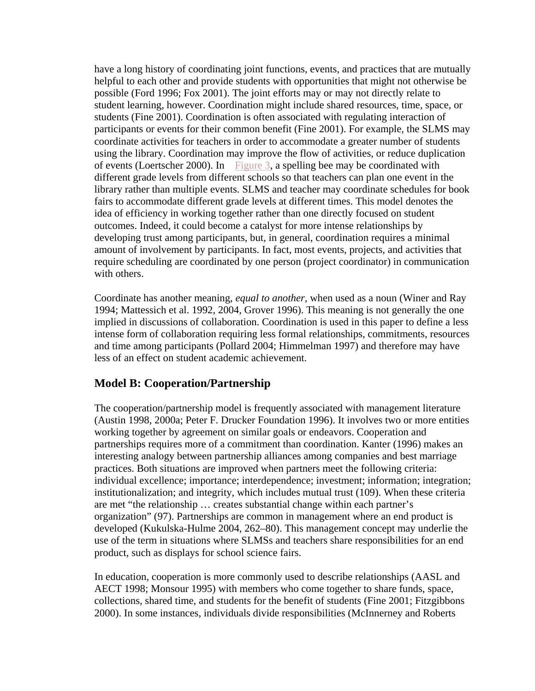have a long history of coordinating joint functions, events, and practices that are mutually helpful to each other and provide students with opportunities that might not otherwise be possible (Ford 1996; Fox 2001). The joint efforts may or may not directly relate to student learning, however. Coordination might include shared resources, time, space, or students (Fine 2001). Coordination is often associated with regulating interaction of participants or events for their common benefit (Fine 2001). For example, the SLMS may coordinate activities for teachers in order to accommodate a greater number of students using the library. Coordination may improve the flow of activities, or reduce duplication of events (Loertscher 2000). In Figure 3, a spelling bee may be coordinated with different grade levels from different schools so that teachers can plan one event in the library rather than multiple events. SLMS and teacher may coordinate schedules for book fairs to accommodate different grade levels at different times. This model denotes the idea of efficiency in working together rather than one directly focused on student outcomes. Indeed, it could become a catalyst for more intense relationships by developing trust among participants, but, in general, coordination requires a minimal amount of involvement by participants. In fact, most events, projects, and activities that require scheduling are coordinated by one person (project coordinator) in communication with others.

Coordinate has another meaning, *equal to another,* when used as a noun (Winer and Ray 1994; Mattessich et al. 1992, 2004, Grover 1996). This meaning is not generally the one implied in discussions of collaboration. Coordination is used in this paper to define a less intense form of collaboration requiring less formal relationships, commitments, resources and time among participants (Pollard 2004; Himmelman 1997) and therefore may have less of an effect on student academic achievement.

## **Model B: Cooperation/Partnership**

The cooperation/partnership model is frequently associated with management literature (Austin 1998, 2000a; Peter F. Drucker Foundation 1996). It involves two or more entities working together by agreement on similar goals or endeavors. Cooperation and partnerships requires more of a commitment than coordination. Kanter (1996) makes an interesting analogy between partnership alliances among companies and best marriage practices. Both situations are improved when partners meet the following criteria: individual excellence; importance; interdependence; investment; information; integration; institutionalization; and integrity, which includes mutual trust (109). When these criteria are met "the relationship … creates substantial change within each partner's organization" (97). Partnerships are common in management where an end product is developed (Kukulska-Hulme 2004, 262–80). This management concept may underlie the use of the term in situations where SLMSs and teachers share responsibilities for an end product, such as displays for school science fairs.

In education, cooperation is more commonly used to describe relationships (AASL and AECT 1998; Monsour 1995) with members who come together to share funds, space, collections, shared time, and students for the benefit of students (Fine 2001; Fitzgibbons 2000). In some instances, individuals divide responsibilities (McInnerney and Roberts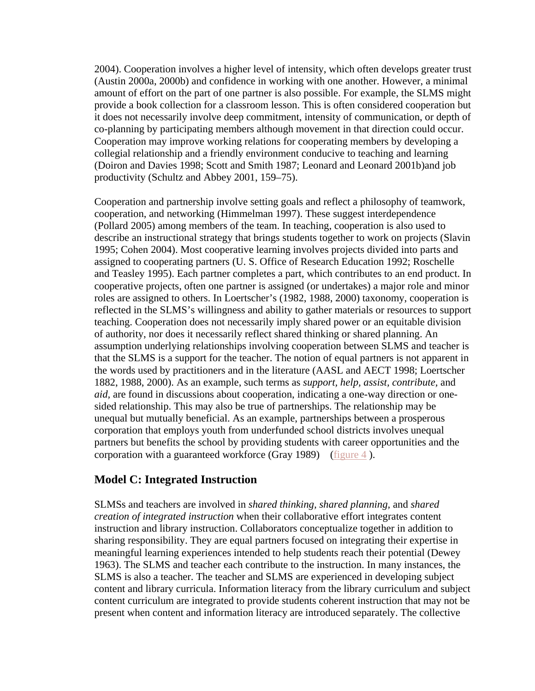2004). Cooperation involves a higher level of intensity, which often develops greater trust (Austin 2000a, 2000b) and confidence in working with one another. However, a minimal amount of effort on the part of one partner is also possible. For example, the SLMS might provide a book collection for a classroom lesson. This is often considered cooperation but it does not necessarily involve deep commitment, intensity of communication, or depth of co-planning by participating members although movement in that direction could occur. Cooperation may improve working relations for cooperating members by developing a collegial relationship and a friendly environment conducive to teaching and learning (Doiron and Davies 1998; Scott and Smith 1987; Leonard and Leonard 2001b)and job productivity (Schultz and Abbey 2001, 159–75).

Cooperation and partnership involve setting goals and reflect a philosophy of teamwork, cooperation, and networking (Himmelman 1997). These suggest interdependence (Pollard 2005) among members of the team. In teaching, cooperation is also used to describe an instructional strategy that brings students together to work on projects (Slavin 1995; Cohen 2004). Most cooperative learning involves projects divided into parts and assigned to cooperating partners (U. S. Office of Research Education 1992; Roschelle and Teasley 1995). Each partner completes a part, which contributes to an end product. In cooperative projects, often one partner is assigned (or undertakes) a major role and minor roles are assigned to others. In Loertscher's (1982, 1988, 2000) taxonomy, cooperation is reflected in the SLMS's willingness and ability to gather materials or resources to support teaching. Cooperation does not necessarily imply shared power or an equitable division of authority, nor does it necessarily reflect shared thinking or shared planning. An assumption underlying relationships involving cooperation between SLMS and teacher is that the SLMS is a support for the teacher. The notion of equal partners is not apparent in the words used by practitioners and in the literature (AASL and AECT 1998; Loertscher 1882, 1988, 2000). As an example, such terms as *support, help, assist, contribute,* and *aid,* are found in discussions about cooperation, indicating a one-way direction or onesided relationship. This may also be true of partnerships. The relationship may be unequal but mutually beneficial. As an example, partnerships between a prosperous corporation that employs youth from underfunded school districts involves unequal partners but benefits the school by providing students with career opportunities and the corporation with a guaranteed workforce (Gray 1989) (figure  $4$ ).

## **Model C: Integrated Instruction**

SLMSs and teachers are involved in *shared thinking, shared planning,* and *shared creation of integrated instruction* when their collaborative effort integrates content instruction and library instruction. Collaborators conceptualize together in addition to sharing responsibility. They are equal partners focused on integrating their expertise in meaningful learning experiences intended to help students reach their potential (Dewey 1963). The SLMS and teacher each contribute to the instruction. In many instances, the SLMS is also a teacher. The teacher and SLMS are experienced in developing subject content and library curricula. Information literacy from the library curriculum and subject content curriculum are integrated to provide students coherent instruction that may not be present when content and information literacy are introduced separately. The collective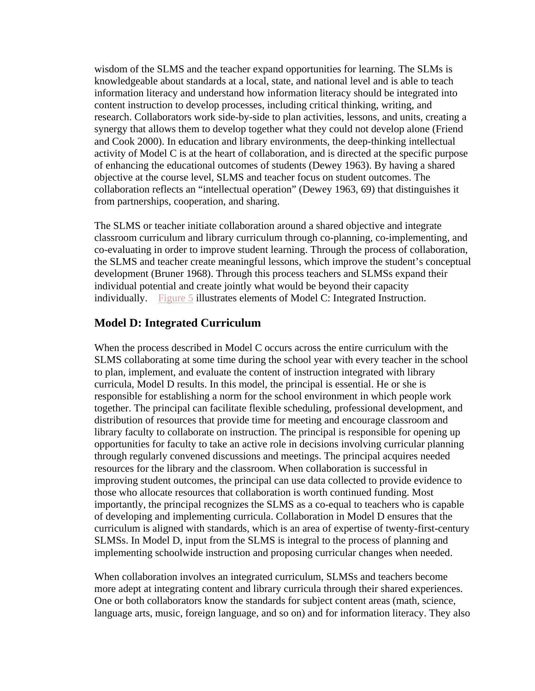wisdom of the SLMS and the teacher expand opportunities for learning. The SLMs is knowledgeable about standards at a local, state, and national level and is able to teach information literacy and understand how information literacy should be integrated into content instruction to develop processes, including critical thinking, writing, and research. Collaborators work side-by-side to plan activities, lessons, and units, creating a synergy that allows them to develop together what they could not develop alone (Friend and Cook 2000). In education and library environments, the deep-thinking intellectual activity of Model C is at the heart of collaboration, and is directed at the specific purpose of enhancing the educational outcomes of students (Dewey 1963). By having a shared objective at the course level, SLMS and teacher focus on student outcomes. The collaboration reflects an "intellectual operation" (Dewey 1963, 69) that distinguishes it from partnerships, cooperation, and sharing.

The SLMS or teacher initiate collaboration around a shared objective and integrate classroom curriculum and library curriculum through co-planning, co-implementing, and co-evaluating in order to improve student learning. Through the process of collaboration, the SLMS and teacher create meaningful lessons, which improve the student's conceptual development (Bruner 1968). Through this process teachers and SLMSs expand their individual potential and create jointly what would be beyond their capacity individually. Figure 5 illustrates elements of Model C: Integrated Instruction.

# **Model D: Integrated Curriculum**

When the process described in Model C occurs across the entire curriculum with the SLMS collaborating at some time during the school year with every teacher in the school to plan, implement, and evaluate the content of instruction integrated with library curricula, Model D results. In this model, the principal is essential. He or she is responsible for establishing a norm for the school environment in which people work together. The principal can facilitate flexible scheduling, professional development, and distribution of resources that provide time for meeting and encourage classroom and library faculty to collaborate on instruction. The principal is responsible for opening up opportunities for faculty to take an active role in decisions involving curricular planning through regularly convened discussions and meetings. The principal acquires needed resources for the library and the classroom. When collaboration is successful in improving student outcomes, the principal can use data collected to provide evidence to those who allocate resources that collaboration is worth continued funding. Most importantly, the principal recognizes the SLMS as a co-equal to teachers who is capable of developing and implementing curricula. Collaboration in Model D ensures that the curriculum is aligned with standards, which is an area of expertise of twenty-first-century SLMSs. In Model D, input from the SLMS is integral to the process of planning and implementing schoolwide instruction and proposing curricular changes when needed.

When collaboration involves an integrated curriculum, SLMSs and teachers become more adept at integrating content and library curricula through their shared experiences. One or both collaborators know the standards for subject content areas (math, science, language arts, music, foreign language, and so on) and for information literacy. They also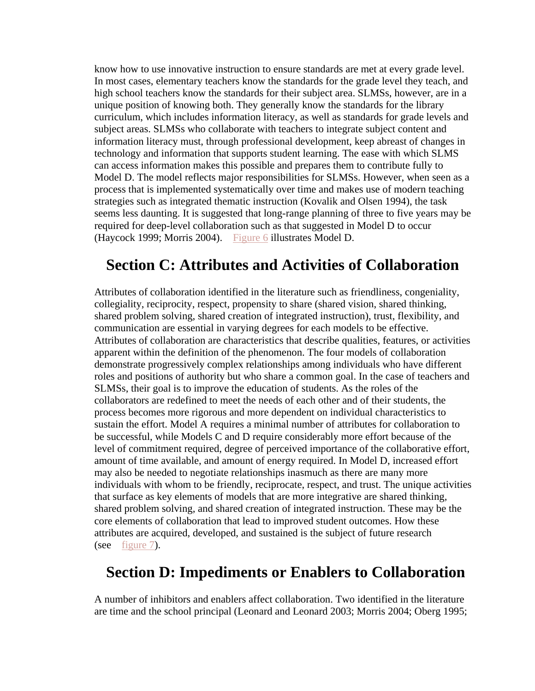know how to use innovative instruction to ensure standards are met at every grade level. In most cases, elementary teachers know the standards for the grade level they teach, and high school teachers know the standards for their subject area. SLMSs, however, are in a unique position of knowing both. They generally know the standards for the library curriculum, which includes information literacy, as well as standards for grade levels and subject areas. SLMSs who collaborate with teachers to integrate subject content and information literacy must, through professional development, keep abreast of changes in technology and information that supports student learning. The ease with which SLMS can access information makes this possible and prepares them to contribute fully to Model D. The model reflects major responsibilities for SLMSs. However, when seen as a process that is implemented systematically over time and makes use of modern teaching strategies such as integrated thematic instruction (Kovalik and Olsen 1994), the task seems less daunting. It is suggested that long-range planning of three to five years may be required for deep-level collaboration such as that suggested in Model D to occur (Haycock 1999; Morris 2004). Figure 6 illustrates Model D.

# **Section C: Attributes and Activities of Collaboration**

Attributes of collaboration identified in the literature such as friendliness, congeniality, collegiality, reciprocity, respect, propensity to share (shared vision, shared thinking, shared problem solving, shared creation of integrated instruction), trust, flexibility, and communication are essential in varying degrees for each models to be effective. Attributes of collaboration are characteristics that describe qualities, features, or activities apparent within the definition of the phenomenon. The four models of collaboration demonstrate progressively complex relationships among individuals who have different roles and positions of authority but who share a common goal. In the case of teachers and SLMSs, their goal is to improve the education of students. As the roles of the collaborators are redefined to meet the needs of each other and of their students, the process becomes more rigorous and more dependent on individual characteristics to sustain the effort. Model A requires a minimal number of attributes for collaboration to be successful, while Models C and D require considerably more effort because of the level of commitment required, degree of perceived importance of the collaborative effort, amount of time available, and amount of energy required. In Model D, increased effort may also be needed to negotiate relationships inasmuch as there are many more individuals with whom to be friendly, reciprocate, respect, and trust. The unique activities that surface as key elements of models that are more integrative are shared thinking, shared problem solving, and shared creation of integrated instruction. These may be the core elements of collaboration that lead to improved student outcomes. How these attributes are acquired, developed, and sustained is the subject of future research (see figure 7).

# **Section D: Impediments or Enablers to Collaboration**

A number of inhibitors and enablers affect collaboration. Two identified in the literature are time and the school principal (Leonard and Leonard 2003; Morris 2004; Oberg 1995;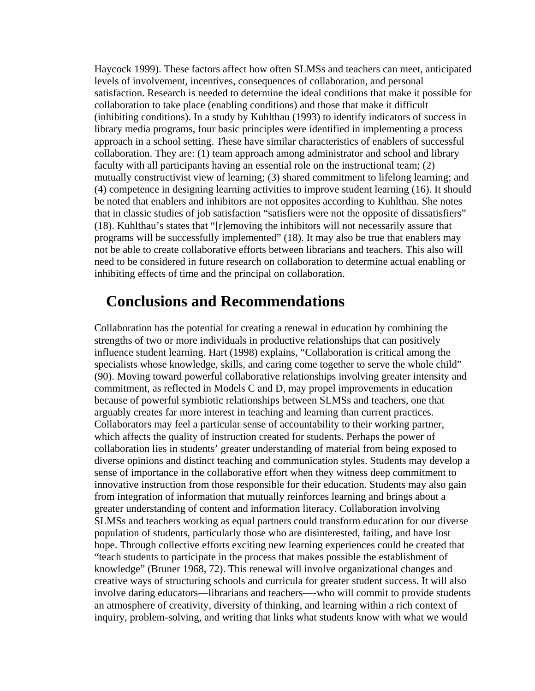Haycock 1999). These factors affect how often SLMSs and teachers can meet, anticipated levels of involvement, incentives, consequences of collaboration, and personal satisfaction. Research is needed to determine the ideal conditions that make it possible for collaboration to take place (enabling conditions) and those that make it difficult (inhibiting conditions). In a study by Kuhlthau (1993) to identify indicators of success in library media programs, four basic principles were identified in implementing a process approach in a school setting. These have similar characteristics of enablers of successful collaboration. They are: (1) team approach among administrator and school and library faculty with all participants having an essential role on the instructional team; (2) mutually constructivist view of learning; (3) shared commitment to lifelong learning; and (4) competence in designing learning activities to improve student learning (16). It should be noted that enablers and inhibitors are not opposites according to Kuhlthau. She notes that in classic studies of job satisfaction "satisfiers were not the opposite of dissatisfiers" (18). Kuhlthau's states that "[r]emoving the inhibitors will not necessarily assure that programs will be successfully implemented" (18). It may also be true that enablers may not be able to create collaborative efforts between librarians and teachers. This also will need to be considered in future research on collaboration to determine actual enabling or inhibiting effects of time and the principal on collaboration.

# **Conclusions and Recommendations**

Collaboration has the potential for creating a renewal in education by combining the strengths of two or more individuals in productive relationships that can positively influence student learning. Hart (1998) explains, "Collaboration is critical among the specialists whose knowledge, skills, and caring come together to serve the whole child" (90). Moving toward powerful collaborative relationships involving greater intensity and commitment, as reflected in Models C and D, may propel improvements in education because of powerful symbiotic relationships between SLMSs and teachers, one that arguably creates far more interest in teaching and learning than current practices. Collaborators may feel a particular sense of accountability to their working partner, which affects the quality of instruction created for students. Perhaps the power of collaboration lies in students' greater understanding of material from being exposed to diverse opinions and distinct teaching and communication styles. Students may develop a sense of importance in the collaborative effort when they witness deep commitment to innovative instruction from those responsible for their education. Students may also gain from integration of information that mutually reinforces learning and brings about a greater understanding of content and information literacy. Collaboration involving SLMSs and teachers working as equal partners could transform education for our diverse population of students, particularly those who are disinterested, failing, and have lost hope. Through collective efforts exciting new learning experiences could be created that "teach students to participate in the process that makes possible the establishment of knowledge" (Bruner 1968, 72). This renewal will involve organizational changes and creative ways of structuring schools and curricula for greater student success. It will also involve daring educators—librarians and teachers—-who will commit to provide students an atmosphere of creativity, diversity of thinking, and learning within a rich context of inquiry, problem-solving, and writing that links what students know with what we would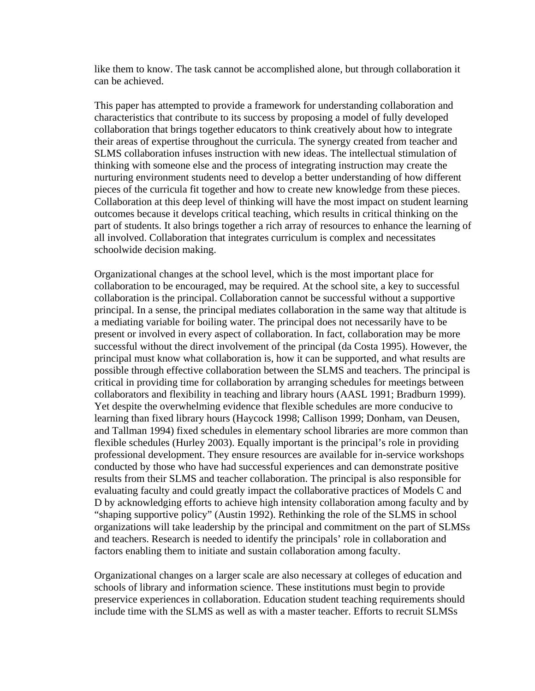like them to know. The task cannot be accomplished alone, but through collaboration it can be achieved.

This paper has attempted to provide a framework for understanding collaboration and characteristics that contribute to its success by proposing a model of fully developed collaboration that brings together educators to think creatively about how to integrate their areas of expertise throughout the curricula. The synergy created from teacher and SLMS collaboration infuses instruction with new ideas. The intellectual stimulation of thinking with someone else and the process of integrating instruction may create the nurturing environment students need to develop a better understanding of how different pieces of the curricula fit together and how to create new knowledge from these pieces. Collaboration at this deep level of thinking will have the most impact on student learning outcomes because it develops critical teaching, which results in critical thinking on the part of students. It also brings together a rich array of resources to enhance the learning of all involved. Collaboration that integrates curriculum is complex and necessitates schoolwide decision making.

Organizational changes at the school level, which is the most important place for collaboration to be encouraged, may be required. At the school site, a key to successful collaboration is the principal. Collaboration cannot be successful without a supportive principal. In a sense, the principal mediates collaboration in the same way that altitude is a mediating variable for boiling water. The principal does not necessarily have to be present or involved in every aspect of collaboration. In fact, collaboration may be more successful without the direct involvement of the principal (da Costa 1995). However, the principal must know what collaboration is, how it can be supported, and what results are possible through effective collaboration between the SLMS and teachers. The principal is critical in providing time for collaboration by arranging schedules for meetings between collaborators and flexibility in teaching and library hours (AASL 1991; Bradburn 1999). Yet despite the overwhelming evidence that flexible schedules are more conducive to learning than fixed library hours (Haycock 1998; Callison 1999; Donham, van Deusen, and Tallman 1994) fixed schedules in elementary school libraries are more common than flexible schedules (Hurley 2003). Equally important is the principal's role in providing professional development. They ensure resources are available for in-service workshops conducted by those who have had successful experiences and can demonstrate positive results from their SLMS and teacher collaboration. The principal is also responsible for evaluating faculty and could greatly impact the collaborative practices of Models C and D by acknowledging efforts to achieve high intensity collaboration among faculty and by "shaping supportive policy" (Austin 1992). Rethinking the role of the SLMS in school organizations will take leadership by the principal and commitment on the part of SLMSs and teachers. Research is needed to identify the principals' role in collaboration and factors enabling them to initiate and sustain collaboration among faculty.

Organizational changes on a larger scale are also necessary at colleges of education and schools of library and information science. These institutions must begin to provide preservice experiences in collaboration. Education student teaching requirements should include time with the SLMS as well as with a master teacher. Efforts to recruit SLMSs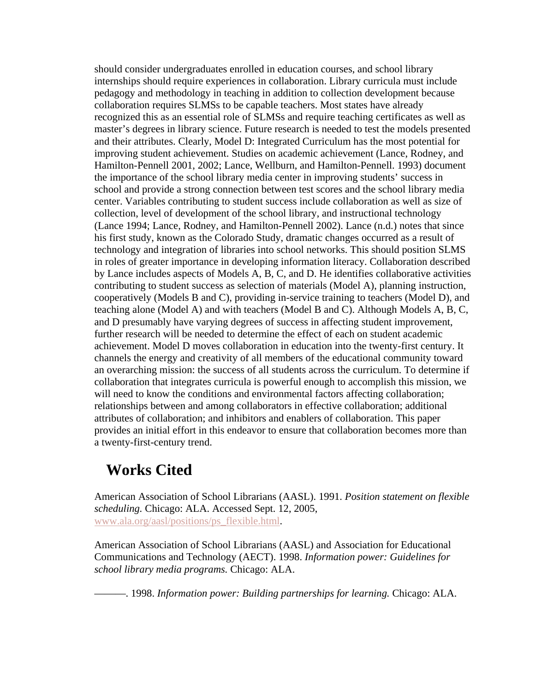should consider undergraduates enrolled in education courses, and school library internships should require experiences in collaboration. Library curricula must include pedagogy and methodology in teaching in addition to collection development because collaboration requires SLMSs to be capable teachers. Most states have already recognized this as an essential role of SLMSs and require teaching certificates as well as master's degrees in library science. Future research is needed to test the models presented and their attributes. Clearly, Model D: Integrated Curriculum has the most potential for improving student achievement. Studies on academic achievement (Lance, Rodney, and Hamilton-Pennell 2001, 2002; Lance, Wellburn, and Hamilton-Pennell. 1993) document the importance of the school library media center in improving students' success in school and provide a strong connection between test scores and the school library media center. Variables contributing to student success include collaboration as well as size of collection, level of development of the school library, and instructional technology (Lance 1994; Lance, Rodney, and Hamilton-Pennell 2002). Lance (n.d.) notes that since his first study, known as the Colorado Study, dramatic changes occurred as a result of technology and integration of libraries into school networks. This should position SLMS in roles of greater importance in developing information literacy. Collaboration described by Lance includes aspects of Models A, B, C, and D. He identifies collaborative activities contributing to student success as selection of materials (Model A), planning instruction, cooperatively (Models B and C), providing in-service training to teachers (Model D), and teaching alone (Model A) and with teachers (Model B and C). Although Models A, B, C, and D presumably have varying degrees of success in affecting student improvement, further research will be needed to determine the effect of each on student academic achievement. Model D moves collaboration in education into the twenty-first century. It channels the energy and creativity of all members of the educational community toward an overarching mission: the success of all students across the curriculum. To determine if collaboration that integrates curricula is powerful enough to accomplish this mission, we will need to know the conditions and environmental factors affecting collaboration; relationships between and among collaborators in effective collaboration; additional attributes of collaboration; and inhibitors and enablers of collaboration. This paper provides an initial effort in this endeavor to ensure that collaboration becomes more than a twenty-first-century trend.

# **Works Cited**

American Association of School Librarians (AASL). 1991. *Position statement on flexible scheduling.* Chicago: ALA. Accessed Sept. 12, 2005, www.ala.org/aasl/positions/ps\_flexible.html.

American Association of School Librarians (AASL) and Association for Educational Communications and Technology (AECT). 1998. *Information power: Guidelines for school library media programs.* Chicago: ALA.

———. 1998. *Information power: Building partnerships for learning.* Chicago: ALA.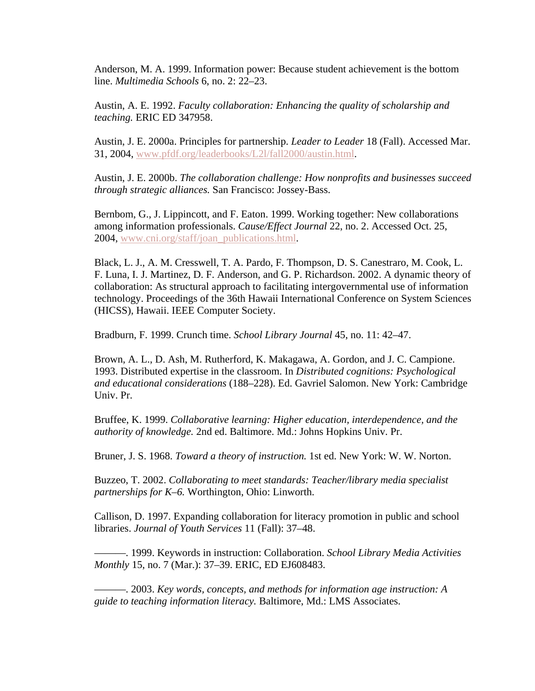Anderson, M. A. 1999. Information power: Because student achievement is the bottom line. *Multimedia Schools* 6, no. 2: 22–23.

Austin, A. E. 1992. *Faculty collaboration: Enhancing the quality of scholarship and teaching.* ERIC ED 347958.

Austin, J. E. 2000a. Principles for partnership. *Leader to Leader* 18 (Fall). Accessed Mar. 31, 2004, www.pfdf.org/leaderbooks/L2l/fall2000/austin.html.

Austin, J. E. 2000b. *The collaboration challenge: How nonprofits and businesses succeed through strategic alliances.* San Francisco: Jossey-Bass.

Bernbom, G., J. Lippincott, and F. Eaton. 1999. Working together: New collaborations among information professionals. *Cause/Effect Journal* 22, no. 2. Accessed Oct. 25, 2004, www.cni.org/staff/joan\_publications.html.

Black, L. J., A. M. Cresswell, T. A. Pardo, F. Thompson, D. S. Canestraro, M. Cook, L. F. Luna, I. J. Martinez, D. F. Anderson, and G. P. Richardson. 2002. A dynamic theory of collaboration: As structural approach to facilitating intergovernmental use of information technology. Proceedings of the 36th Hawaii International Conference on System Sciences (HICSS), Hawaii. IEEE Computer Society.

Bradburn, F. 1999. Crunch time. *School Library Journal* 45, no. 11: 42–47.

Brown, A. L., D. Ash, M. Rutherford, K. Makagawa, A. Gordon, and J. C. Campione. 1993. Distributed expertise in the classroom. In *Distributed cognitions: Psychological and educational considerations* (188–228). Ed. Gavriel Salomon. New York: Cambridge Univ. Pr.

Bruffee, K. 1999. *Collaborative learning: Higher education, interdependence, and the authority of knowledge.* 2nd ed. Baltimore. Md.: Johns Hopkins Univ. Pr.

Bruner, J. S. 1968. *Toward a theory of instruction.* 1st ed. New York: W. W. Norton.

Buzzeo, T. 2002. *Collaborating to meet standards: Teacher/library media specialist partnerships for K–6.* Worthington, Ohio: Linworth.

Callison, D. 1997. Expanding collaboration for literacy promotion in public and school libraries. *Journal of Youth Services* 11 (Fall): 37–48.

———. 1999. Keywords in instruction: Collaboration. *School Library Media Activities Monthly* 15, no. 7 (Mar.): 37–39. ERIC, ED EJ608483.

———. 2003. *Key words, concepts, and methods for information age instruction: A guide to teaching information literacy.* Baltimore, Md.: LMS Associates.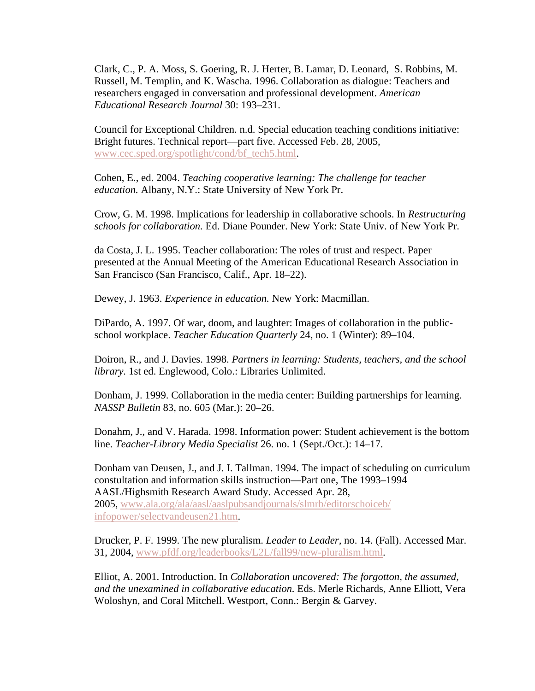Clark, C., P. A. Moss, S. Goering, R. J. Herter, B. Lamar, D. Leonard, S. Robbins, M. Russell, M. Templin, and K. Wascha. 1996. Collaboration as dialogue: Teachers and researchers engaged in conversation and professional development. *American Educational Research Journal* 30: 193–231.

Council for Exceptional Children. n.d. Special education teaching conditions initiative: Bright futures. Technical report—part five. Accessed Feb. 28, 2005, www.cec.sped.org/spotlight/cond/bf\_tech5.html.

Cohen, E., ed. 2004. *Teaching cooperative learning: The challenge for teacher education.* Albany, N.Y.: State University of New York Pr.

Crow, G. M. 1998. Implications for leadership in collaborative schools. In *Restructuring schools for collaboration.* Ed. Diane Pounder. New York: State Univ. of New York Pr.

da Costa, J. L. 1995. Teacher collaboration: The roles of trust and respect. Paper presented at the Annual Meeting of the American Educational Research Association in San Francisco (San Francisco, Calif., Apr. 18–22).

Dewey, J. 1963. *Experience in education.* New York: Macmillan.

DiPardo, A. 1997. Of war, doom, and laughter: Images of collaboration in the publicschool workplace. *Teacher Education Quarterly* 24, no. 1 (Winter): 89–104.

Doiron, R., and J. Davies. 1998. *Partners in learning: Students, teachers, and the school library.* 1st ed. Englewood, Colo.: Libraries Unlimited.

Donham, J. 1999. Collaboration in the media center: Building partnerships for learning. *NASSP Bulletin* 83, no. 605 (Mar.): 20–26.

Donahm, J., and V. Harada. 1998. Information power: Student achievement is the bottom line. *Teacher-Library Media Specialist* 26. no. 1 (Sept./Oct.): 14–17.

Donham van Deusen, J., and J. I. Tallman. 1994. The impact of scheduling on curriculum constultation and information skills instruction—Part one, The 1993–1994 AASL/Highsmith Research Award Study. Accessed Apr. 28, 2005, www.ala.org/ala/aasl/aaslpubsandjournals/slmrb/editorschoiceb/ infopower/selectvandeusen21.htm.

Drucker, P. F. 1999. The new pluralism. *Leader to Leader,* no. 14. (Fall). Accessed Mar. 31, 2004, www.pfdf.org/leaderbooks/L2L/fall99/new-pluralism.html.

Elliot, A. 2001. Introduction. In *Collaboration uncovered: The forgotton, the assumed, and the unexamined in collaborative education.* Eds. Merle Richards, Anne Elliott, Vera Woloshyn, and Coral Mitchell. Westport, Conn.: Bergin & Garvey.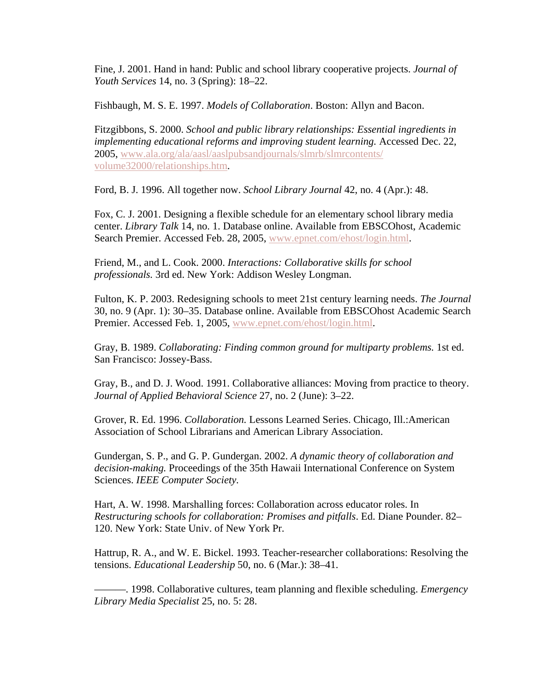Fine, J. 2001. Hand in hand: Public and school library cooperative projects. *Journal of Youth Services* 14, no. 3 (Spring): 18–22.

Fishbaugh, M. S. E. 1997. *Models of Collaboration*. Boston: Allyn and Bacon.

Fitzgibbons, S. 2000. *School and public library relationships: Essential ingredients in implementing educational reforms and improving student learning.* Accessed Dec. 22, 2005, www.ala.org/ala/aasl/aaslpubsandjournals/slmrb/slmrcontents/ volume32000/relationships.htm.

Ford, B. J. 1996. All together now. *School Library Journal* 42, no. 4 (Apr.): 48.

Fox, C. J. 2001. Designing a flexible schedule for an elementary school library media center. *Library Talk* 14, no. 1. Database online. Available from EBSCOhost, Academic Search Premier. Accessed Feb. 28, 2005, www.epnet.com/ehost/login.html.

Friend, M., and L. Cook. 2000. *Interactions: Collaborative skills for school professionals.* 3rd ed. New York: Addison Wesley Longman.

Fulton, K. P. 2003. Redesigning schools to meet 21st century learning needs. *The Journal* 30, no. 9 (Apr. 1): 30–35. Database online. Available from EBSCOhost Academic Search Premier. Accessed Feb. 1, 2005, www.epnet.com/ehost/login.html.

Gray, B. 1989. *Collaborating: Finding common ground for multiparty problems.* 1st ed. San Francisco: Jossey-Bass.

Gray, B., and D. J. Wood. 1991. Collaborative alliances: Moving from practice to theory. *Journal of Applied Behavioral Science* 27, no. 2 (June): 3–22.

Grover, R. Ed. 1996. *Collaboration.* Lessons Learned Series. Chicago, Ill.:American Association of School Librarians and American Library Association.

Gundergan, S. P., and G. P. Gundergan. 2002. *A dynamic theory of collaboration and decision-making.* Proceedings of the 35th Hawaii International Conference on System Sciences. *IEEE Computer Society.*

Hart, A. W. 1998. Marshalling forces: Collaboration across educator roles. In *Restructuring schools for collaboration: Promises and pitfalls*. Ed. Diane Pounder. 82– 120. New York: State Univ. of New York Pr.

Hattrup, R. A., and W. E. Bickel. 1993. Teacher-researcher collaborations: Resolving the tensions. *Educational Leadership* 50, no. 6 (Mar.): 38–41.

———. 1998. Collaborative cultures, team planning and flexible scheduling. *Emergency Library Media Specialist* 25, no. 5: 28.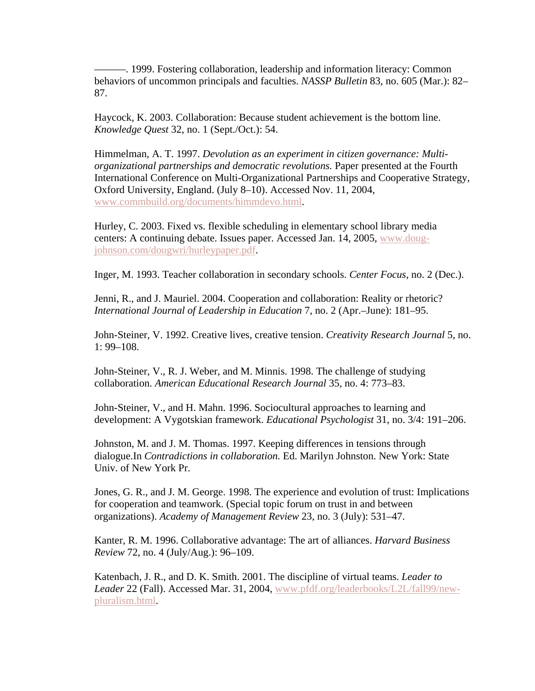———. 1999. Fostering collaboration, leadership and information literacy: Common behaviors of uncommon principals and faculties. *NASSP Bulletin* 83, no. 605 (Mar.): 82– 87.

Haycock, K. 2003. Collaboration: Because student achievement is the bottom line. *Knowledge Quest* 32, no. 1 (Sept./Oct.): 54.

Himmelman, A. T. 1997. *Devolution as an experiment in citizen governance: Multiorganizational partnerships and democratic revolutions.* Paper presented at the Fourth International Conference on Multi-Organizational Partnerships and Cooperative Strategy, Oxford University, England. (July 8–10). Accessed Nov. 11, 2004, www.commbuild.org/documents/himmdevo.html.

Hurley, C. 2003. Fixed vs. flexible scheduling in elementary school library media centers: A continuing debate. Issues paper. Accessed Jan. 14, 2005, www.dougjohnson.com/dougwri/hurleypaper.pdf.

Inger, M. 1993. Teacher collaboration in secondary schools. *Center Focus,* no. 2 (Dec.).

Jenni, R., and J. Mauriel. 2004. Cooperation and collaboration: Reality or rhetoric? *International Journal of Leadership in Education* 7, no. 2 (Apr.–June): 181–95.

John-Steiner, V. 1992. Creative lives, creative tension. *Creativity Research Journal* 5, no. 1: 99–108.

John-Steiner, V., R. J. Weber, and M. Minnis. 1998. The challenge of studying collaboration. *American Educational Research Journal* 35, no. 4: 773–83.

John-Steiner, V., and H. Mahn. 1996. Sociocultural approaches to learning and development: A Vygotskian framework. *Educational Psychologist* 31, no. 3/4: 191–206.

Johnston, M. and J. M. Thomas. 1997. Keeping differences in tensions through dialogue.In *Contradictions in collaboration.* Ed. Marilyn Johnston. New York: State Univ. of New York Pr.

Jones, G. R., and J. M. George. 1998. The experience and evolution of trust: Implications for cooperation and teamwork. (Special topic forum on trust in and between organizations). *Academy of Management Review* 23, no. 3 (July): 531–47.

Kanter, R. M. 1996. Collaborative advantage: The art of alliances. *Harvard Business Review* 72, no. 4 (July/Aug.): 96–109.

Katenbach, J. R., and D. K. Smith. 2001. The discipline of virtual teams. *Leader to Leader* 22 (Fall). Accessed Mar. 31, 2004, www.pfdf.org/leaderbooks/L2L/fall99/newpluralism.html.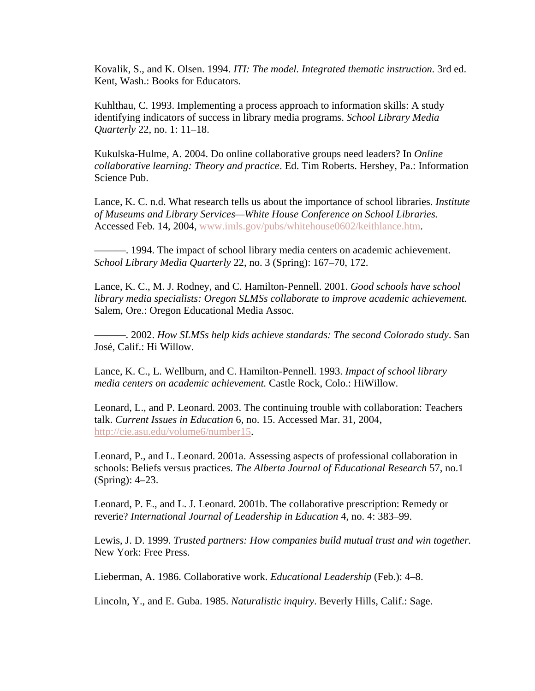Kovalik, S., and K. Olsen. 1994. *ITI: The model. Integrated thematic instruction.* 3rd ed. Kent, Wash.: Books for Educators.

Kuhlthau, C. 1993. Implementing a process approach to information skills: A study identifying indicators of success in library media programs. *School Library Media Quarterly* 22, no. 1: 11–18.

Kukulska-Hulme, A. 2004. Do online collaborative groups need leaders? In *Online collaborative learning: Theory and practice*. Ed. Tim Roberts. Hershey, Pa.: Information Science Pub.

Lance, K. C. n.d. What research tells us about the importance of school libraries. *Institute of Museums and Library Services—White House Conference on School Libraries.* Accessed Feb. 14, 2004, www.imls.gov/pubs/whitehouse0602/keithlance.htm.

———. 1994. The impact of school library media centers on academic achievement. *School Library Media Quarterly* 22, no. 3 (Spring): 167–70, 172.

Lance, K. C., M. J. Rodney, and C. Hamilton-Pennell. 2001. *Good schools have school library media specialists: Oregon SLMSs collaborate to improve academic achievement.* Salem, Ore.: Oregon Educational Media Assoc.

———. 2002. *How SLMSs help kids achieve standards: The second Colorado study*. San José, Calif.: Hi Willow.

Lance, K. C., L. Wellburn, and C. Hamilton-Pennell. 1993. *Impact of school library media centers on academic achievement.* Castle Rock, Colo.: HiWillow.

Leonard, L., and P. Leonard. 2003. The continuing trouble with collaboration: Teachers talk. *Current Issues in Education* 6, no. 15. Accessed Mar. 31, 2004, http://cie.asu.edu/volume6/number15.

Leonard, P., and L. Leonard. 2001a. Assessing aspects of professional collaboration in schools: Beliefs versus practices. *The Alberta Journal of Educational Research* 57, no.1 (Spring): 4–23.

Leonard, P. E., and L. J. Leonard. 2001b. The collaborative prescription: Remedy or reverie? *International Journal of Leadership in Education* 4, no. 4: 383–99.

Lewis, J. D. 1999. *Trusted partners: How companies build mutual trust and win together.* New York: Free Press.

Lieberman, A. 1986. Collaborative work. *Educational Leadership* (Feb.): 4–8.

Lincoln, Y., and E. Guba. 1985. *Naturalistic inquiry*. Beverly Hills, Calif.: Sage.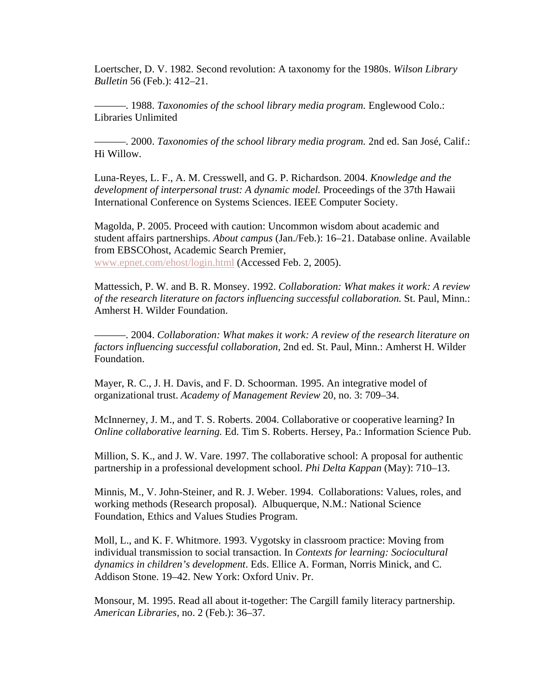Loertscher, D. V. 1982. Second revolution: A taxonomy for the 1980s. *Wilson Library Bulletin* 56 (Feb.): 412–21.

———. 1988. *Taxonomies of the school library media program.* Englewood Colo.: Libraries Unlimited

———. 2000. *Taxonomies of the school library media program.* 2nd ed. San José, Calif.: Hi Willow.

Luna-Reyes, L. F., A. M. Cresswell, and G. P. Richardson. 2004. *Knowledge and the development of interpersonal trust: A dynamic model.* Proceedings of the 37th Hawaii International Conference on Systems Sciences. IEEE Computer Society.

Magolda, P. 2005. Proceed with caution: Uncommon wisdom about academic and student affairs partnerships. *About campus* (Jan./Feb.): 16–21. Database online. Available from EBSCOhost, Academic Search Premier, www.epnet.com/ehost/login.html (Accessed Feb. 2, 2005).

Mattessich, P. W. and B. R. Monsey. 1992. *Collaboration: What makes it work: A review of the research literature on factors influencing successful collaboration.* St. Paul, Minn.: Amherst H. Wilder Foundation.

———. 2004. *Collaboration: What makes it work: A review of the research literature on factors influencing successful collaboration,* 2nd ed. St. Paul, Minn.: Amherst H. Wilder Foundation.

Mayer, R. C., J. H. Davis, and F. D. Schoorman. 1995. An integrative model of organizational trust. *Academy of Management Review* 20, no. 3: 709–34.

McInnerney, J. M., and T. S. Roberts. 2004. Collaborative or cooperative learning? In *Online collaborative learning.* Ed. Tim S. Roberts. Hersey, Pa.: Information Science Pub.

Million, S. K., and J. W. Vare. 1997. The collaborative school: A proposal for authentic partnership in a professional development school. *Phi Delta Kappan* (May): 710–13.

Minnis, M., V. John-Steiner, and R. J. Weber. 1994. Collaborations: Values, roles, and working methods (Research proposal). Albuquerque, N.M.: National Science Foundation, Ethics and Values Studies Program.

Moll, L., and K. F. Whitmore. 1993. Vygotsky in classroom practice: Moving from individual transmission to social transaction. In *Contexts for learning: Sociocultural dynamics in children's development*. Eds. Ellice A. Forman, Norris Minick, and C. Addison Stone. 19–42. New York: Oxford Univ. Pr.

Monsour, M. 1995. Read all about it-together: The Cargill family literacy partnership. *American Libraries,* no. 2 (Feb.): 36–37.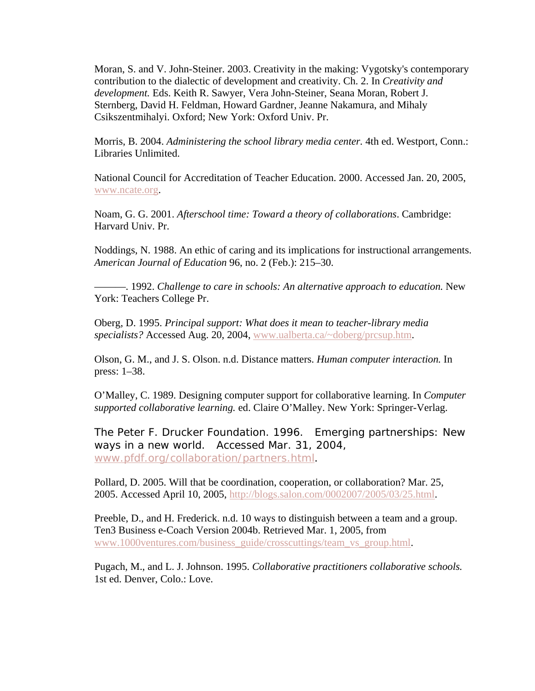Moran, S. and V. John-Steiner. 2003. Creativity in the making: Vygotsky's contemporary contribution to the dialectic of development and creativity. Ch. 2. In *Creativity and development.* Eds. Keith R. Sawyer, Vera John-Steiner, Seana Moran, Robert J. Sternberg, David H. Feldman, Howard Gardner, Jeanne Nakamura, and Mihaly Csikszentmihalyi. Oxford; New York: Oxford Univ. Pr.

Morris, B. 2004. *Administering the school library media center.* 4th ed. Westport, Conn.: Libraries Unlimited.

National Council for Accreditation of Teacher Education. 2000. Accessed Jan. 20, 2005, www.ncate.org.

Noam, G. G. 2001. *Afterschool time: Toward a theory of collaborations*. Cambridge: Harvard Univ. Pr.

Noddings, N. 1988. An ethic of caring and its implications for instructional arrangements. *American Journal of Education* 96, no. 2 (Feb.): 215–30.

———. 1992. *Challenge to care in schools: An alternative approach to education.* New York: Teachers College Pr.

Oberg, D. 1995. *Principal support: What does it mean to teacher-library media specialists?* Accessed Aug. 20, 2004, www.ualberta.ca/~doberg/prcsup.htm.

Olson, G. M., and J. S. Olson. n.d. Distance matters. *Human computer interaction.* In press: 1–38.

O'Malley, C. 1989. Designing computer support for collaborative learning. In *Computer supported collaborative learning.* ed. Claire O'Malley. New York: Springer-Verlag.

The Peter F. Drucker Foundation. 1996. Emerging partnerships: New ways in a new world. Accessed Mar. 31, 2004, www.pfdf.org/collaboration/partners.html.

Pollard, D. 2005. Will that be coordination, cooperation, or collaboration? Mar. 25, 2005. Accessed April 10, 2005, http://blogs.salon.com/0002007/2005/03/25.html.

Preeble, D., and H. Frederick. n.d. 10 ways to distinguish between a team and a group. Ten3 Business e-Coach Version 2004b. Retrieved Mar. 1, 2005, from www.1000ventures.com/business\_guide/crosscuttings/team\_vs\_group.html.

Pugach, M., and L. J. Johnson. 1995. *Collaborative practitioners collaborative schools.* 1st ed. Denver, Colo.: Love.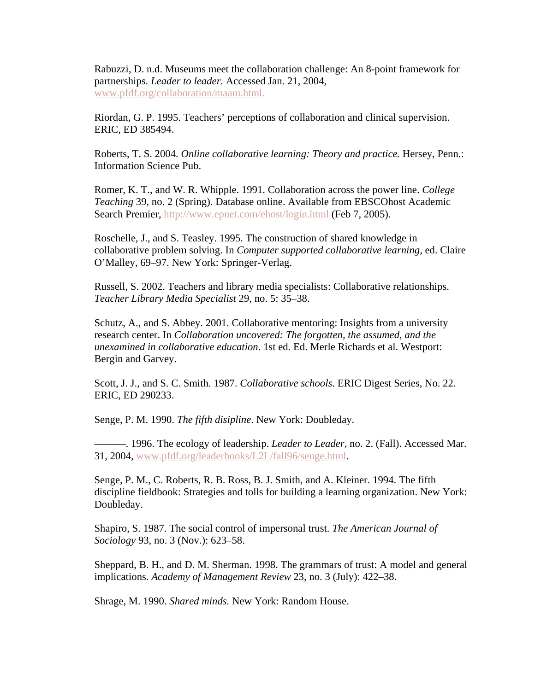Rabuzzi, D. n.d. Museums meet the collaboration challenge: An 8-point framework for partnerships. *Leader to leader.* Accessed Jan. 21, 2004, www.pfdf.org/collaboration/maam.html.

Riordan, G. P. 1995. Teachers' perceptions of collaboration and clinical supervision. ERIC, ED 385494.

Roberts, T. S. 2004. *Online collaborative learning: Theory and practice.* Hersey, Penn.: Information Science Pub.

Romer, K. T., and W. R. Whipple. 1991. Collaboration across the power line. *College Teaching* 39, no. 2 (Spring). Database online. Available from EBSCOhost Academic Search Premier, http://www.epnet.com/ehost/login.html (Feb 7, 2005).

Roschelle, J., and S. Teasley. 1995. The construction of shared knowledge in collaborative problem solving. In *Computer supported collaborative learning,* ed. Claire O'Malley, 69–97. New York: Springer-Verlag.

Russell, S. 2002. Teachers and library media specialists: Collaborative relationships. *Teacher Library Media Specialist* 29, no. 5: 35–38.

Schutz, A., and S. Abbey. 2001. Collaborative mentoring: Insights from a university research center. In *Collaboration uncovered: The forgotten, the assumed, and the unexamined in collaborative education*. 1st ed. Ed. Merle Richards et al. Westport: Bergin and Garvey.

Scott, J. J., and S. C. Smith. 1987. *Collaborative schools.* ERIC Digest Series, No. 22. ERIC, ED 290233.

Senge, P. M. 1990. *The fifth disipline*. New York: Doubleday.

———. 1996. The ecology of leadership. *Leader to Leader,* no. 2. (Fall). Accessed Mar. 31, 2004, www.pfdf.org/leaderbooks/L2L/fall96/senge.html.

Senge, P. M., C. Roberts, R. B. Ross, B. J. Smith, and A. Kleiner. 1994. The fifth discipline fieldbook: Strategies and tolls for building a learning organization. New York: Doubleday.

Shapiro, S. 1987. The social control of impersonal trust. *The American Journal of Sociology* 93, no. 3 (Nov.): 623–58.

Sheppard, B. H., and D. M. Sherman. 1998. The grammars of trust: A model and general implications. *Academy of Management Review* 23, no. 3 (July): 422–38.

Shrage, M. 1990. *Shared minds.* New York: Random House.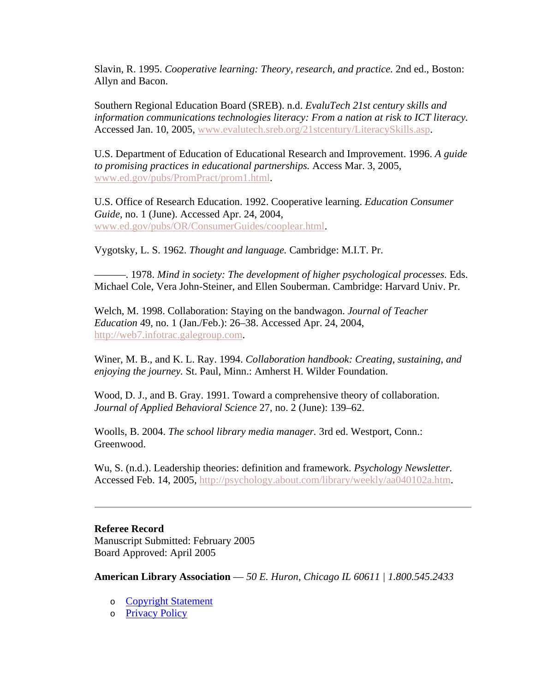Slavin, R. 1995. *Cooperative learning: Theory, research, and practice.* 2nd ed., Boston: Allyn and Bacon.

Southern Regional Education Board (SREB). n.d. *EvaluTech 21st century skills and information communications technologies literacy: From a nation at risk to ICT literacy.* Accessed Jan. 10, 2005, www.evalutech.sreb.org/21stcentury/LiteracySkills.asp.

U.S. Department of Education of Educational Research and Improvement. 1996. *A guide to promising practices in educational partnerships.* Access Mar. 3, 2005, www.ed.gov/pubs/PromPract/prom1.html.

U.S. Office of Research Education. 1992. Cooperative learning. *Education Consumer Guide,* no. 1 (June). Accessed Apr. 24, 2004, www.ed.gov/pubs/OR/ConsumerGuides/cooplear.html.

Vygotsky, L. S. 1962. *Thought and language.* Cambridge: M.I.T. Pr.

———. 1978. *Mind in society: The development of higher psychological processes.* Eds. Michael Cole, Vera John-Steiner, and Ellen Souberman. Cambridge: Harvard Univ. Pr.

Welch, M. 1998. Collaboration: Staying on the bandwagon. *Journal of Teacher Education* 49, no. 1 (Jan./Feb.): 26–38. Accessed Apr. 24, 2004, http://web7.infotrac.galegroup.com.

Winer, M. B., and K. L. Ray. 1994. *Collaboration handbook: Creating, sustaining, and enjoying the journey.* St. Paul, Minn.: Amherst H. Wilder Foundation.

Wood, D. J., and B. Gray. 1991. Toward a comprehensive theory of collaboration. *Journal of Applied Behavioral Science* 27, no. 2 (June): 139–62.

Woolls, B. 2004. *The school library media manager.* 3rd ed. Westport, Conn.: Greenwood.

Wu, S. (n.d.). Leadership theories: definition and framework. *Psychology Newsletter.* Accessed Feb. 14, 2005, http://psychology.about.com/library/weekly/aa040102a.htm.

#### **Referee Record**

Manuscript Submitted: February 2005 Board Approved: April 2005

**American Library Association** — *50 E. Huron, Chicago IL 60611 | 1.800.545.2433*

- o Copyright Statement
- o Privacy Policy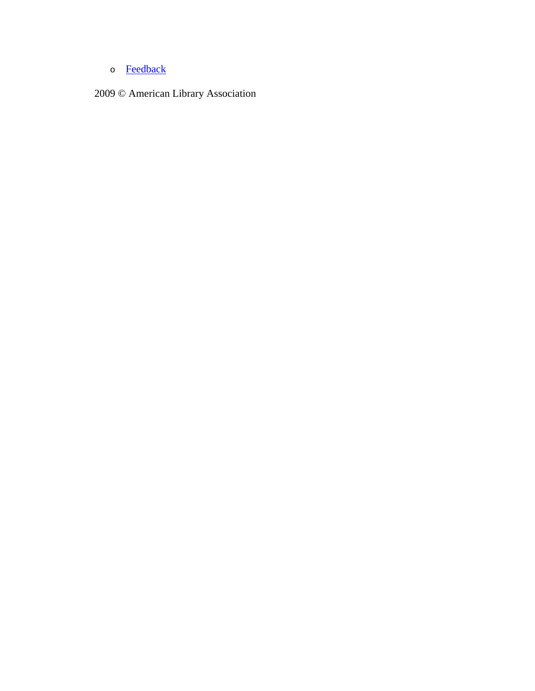o **Feedback** 

2009 © American Library Association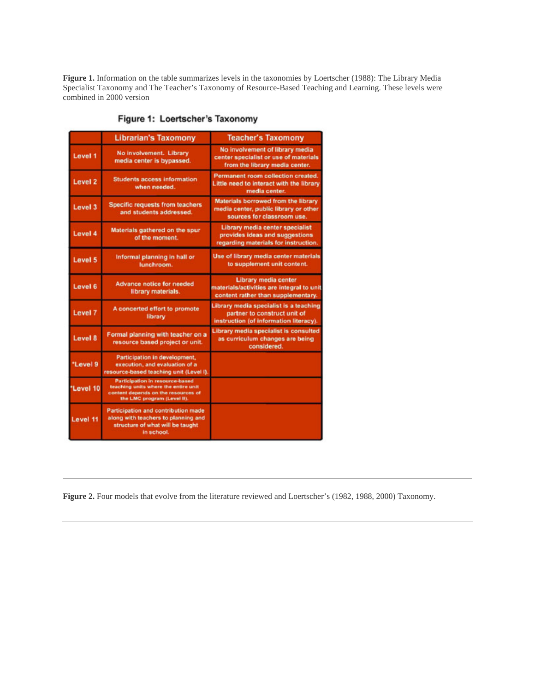**Figure 1.** Information on the table summarizes levels in the taxonomies by Loertscher (1988): The Library Media Specialist Taxonomy and The Teacher's Taxonomy of Resource-Based Teaching and Learning. These levels were combined in 2000 version

|                    | <b>Librarian's Taxomony</b>                                                                                                                   | <b>Teacher's Taxomony</b>                                                                                        |
|--------------------|-----------------------------------------------------------------------------------------------------------------------------------------------|------------------------------------------------------------------------------------------------------------------|
| Level 1            | No involvement. Library<br>media center is bypassed.                                                                                          | No involvement of library media<br>center specialist or use of materials<br>from the library media center.       |
| Level <sub>2</sub> | <b>Students access information</b><br>when needed.                                                                                            | Permanent room collection created.<br>Little need to interact with the library<br>media center.                  |
| Level 3            | <b>Specific requests from teachers</b><br>and students addressed.                                                                             | Materials borrowed from the library<br>media center, public library or other<br>sources for classroom use.       |
| Level 4            | Materials gathered on the spur<br>of the moment.                                                                                              | Library media center specialist<br>provides ideas and suggestions<br>regarding materials for instruction.        |
| Level 5            | Informal planning in hall or<br>lunchroom.                                                                                                    | Use of library media center materials<br>to supplement unit content.                                             |
| Level 6            | <b>Advance notice for needed</b><br>library materials.                                                                                        | Library media center<br>materials/activities are integral to unit<br>content rather than supplementary.          |
| Level 7            | A concerted effort to promote<br>library                                                                                                      | Library media specialist is a teaching<br>partner to construct unit of<br>instruction (of information literacy). |
| Level 8            | Formal planning with teacher on a<br>resource based project or unit.                                                                          | Library media specialist is consulted<br>as curriculum changes are being<br>considered.                          |
| *Level 9           | Participation in development,<br>execution, and evaluation of a<br>resource-based teaching unit (Level I).                                    |                                                                                                                  |
| "Level 10          | Participation in resource-based<br>teaching units where the entire unit<br>content depends on the resources of<br>the LMC program (Level II). |                                                                                                                  |
| Level 11           | Participation and contribution made<br>along with teachers to planning and<br>structure of what will be taught<br>in school.                  |                                                                                                                  |

Figure 1: Loertscher's Taxonomy

**Figure 2.** Four models that evolve from the literature reviewed and Loertscher's (1982, 1988, 2000) Taxonomy.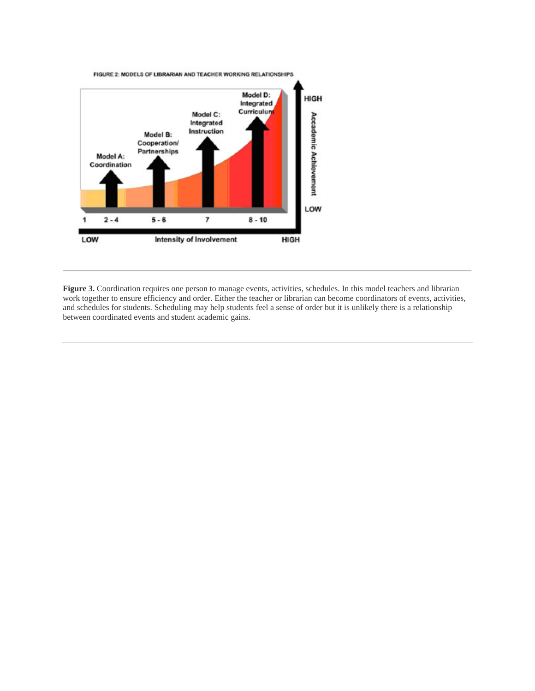

Figure 3. Coordination requires one person to manage events, activities, schedules. In this model teachers and librarian work together to ensure efficiency and order. Either the teacher or librarian can become coordinators of events, activities, and schedules for students. Scheduling may help students feel a sense of order but it is unlikely there is a relationship between coordinated events and student academic gains.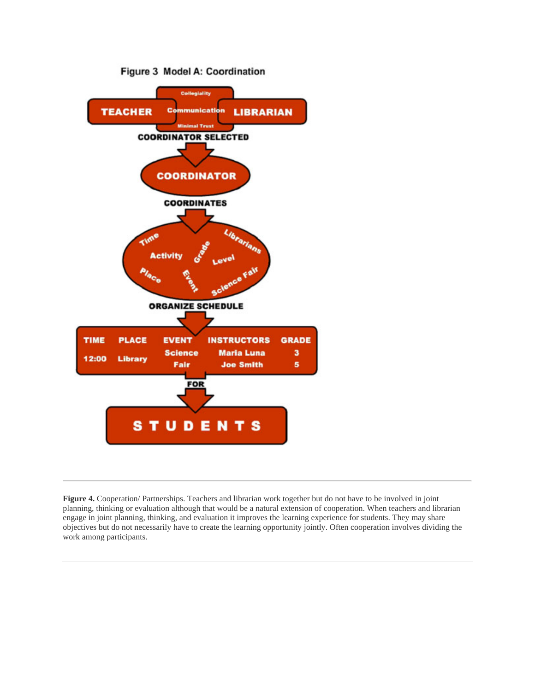

**Figure 4.** Cooperation/ Partnerships. Teachers and librarian work together but do not have to be involved in joint planning, thinking or evaluation although that would be a natural extension of cooperation. When teachers and librarian engage in joint planning, thinking, and evaluation it improves the learning experience for students. They may share objectives but do not necessarily have to create the learning opportunity jointly. Often cooperation involves dividing the work among participants.

#### Figure 3 Model A: Coordination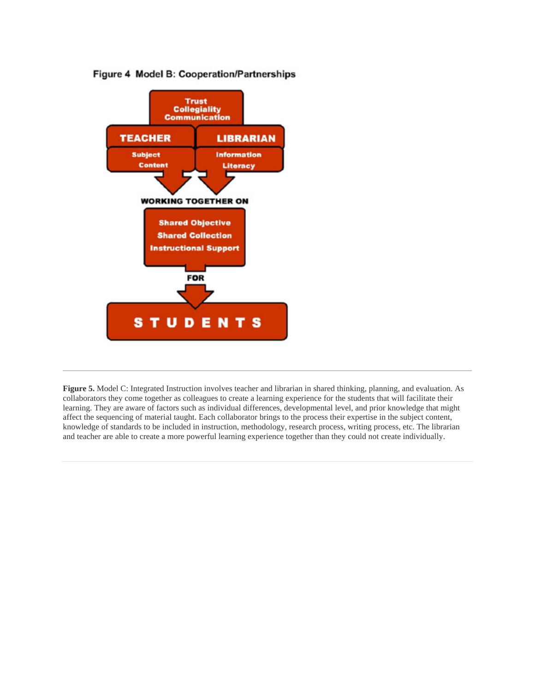#### Figure 4 Model B: Cooperation/Partnerships



**Figure 5.** Model C: Integrated Instruction involves teacher and librarian in shared thinking, planning, and evaluation. As collaborators they come together as colleagues to create a learning experience for the students that will facilitate their learning. They are aware of factors such as individual differences, developmental level, and prior knowledge that might affect the sequencing of material taught. Each collaborator brings to the process their expertise in the subject content, knowledge of standards to be included in instruction, methodology, research process, writing process, etc. The librarian and teacher are able to create a more powerful learning experience together than they could not create individually.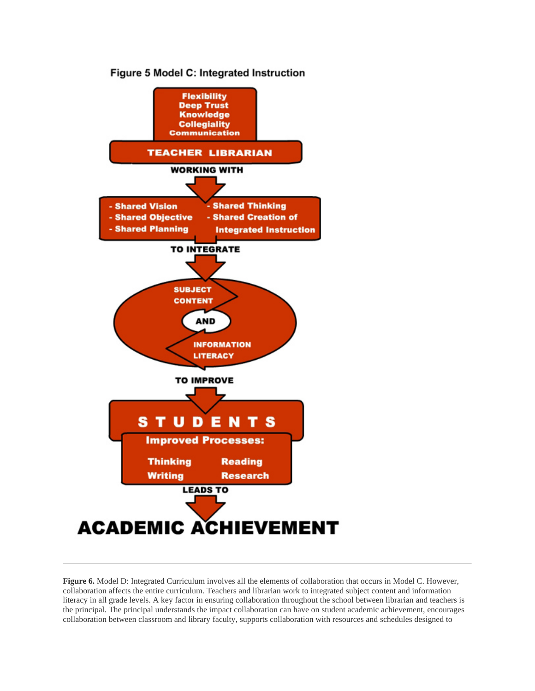

**Figure 6.** Model D: Integrated Curriculum involves all the elements of collaboration that occurs in Model C. However, collaboration affects the entire curriculum. Teachers and librarian work to integrated subject content and information literacy in all grade levels. A key factor in ensuring collaboration throughout the school between librarian and teachers is the principal. The principal understands the impact collaboration can have on student academic achievement, encourages collaboration between classroom and library faculty, supports collaboration with resources and schedules designed to

#### Figure 5 Model C: Integrated Instruction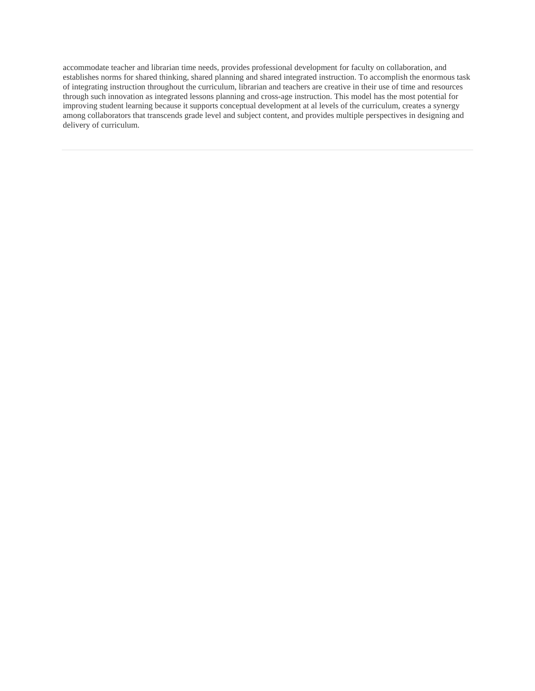accommodate teacher and librarian time needs, provides professional development for faculty on collaboration, and establishes norms for shared thinking, shared planning and shared integrated instruction. To accomplish the enormous task of integrating instruction throughout the curriculum, librarian and teachers are creative in their use of time and resources through such innovation as integrated lessons planning and cross-age instruction. This model has the most potential for improving student learning because it supports conceptual development at al levels of the curriculum, creates a synergy among collaborators that transcends grade level and subject content, and provides multiple perspectives in designing and delivery of curriculum.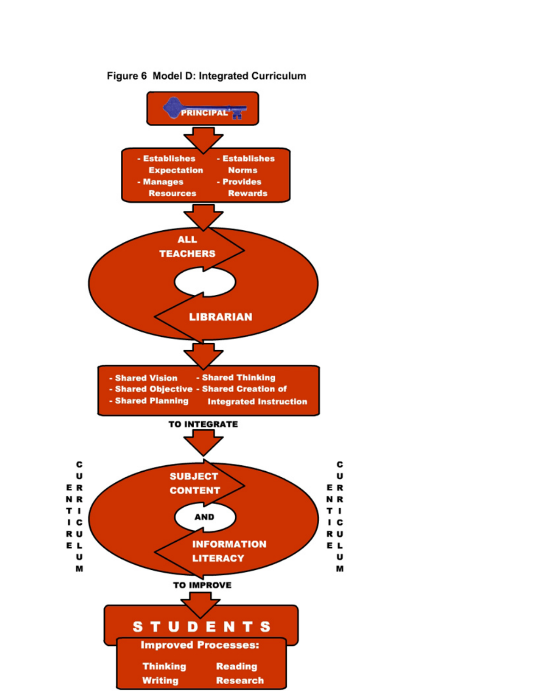

c

U

U

Figure 6 Model D: Integrated Curriculum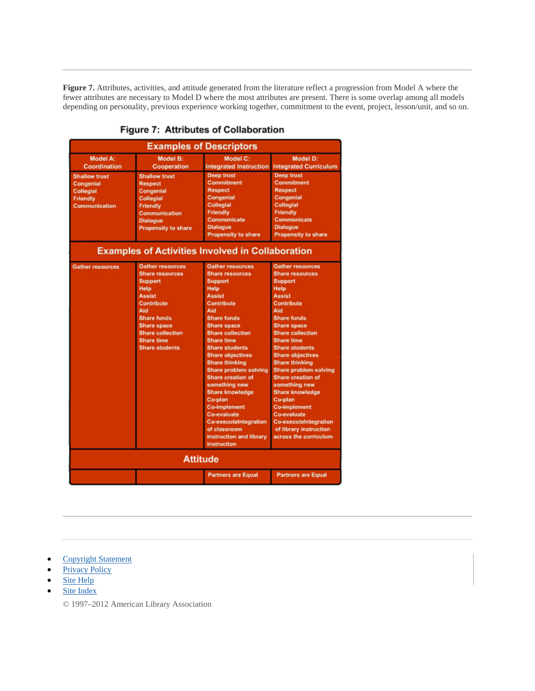**Figure 7.** Attributes, activities, and attitude generated from the literature reflect a progression from Model A where the fewer attributes are necessary to Model D where the most attributes are present. There is some overlap among all models depending on personality, previous experience working together, commitment to the event, project, lesson/unit, and so on.

| <b>Examples of Descriptors</b>                                                     |                                                                                                                                                                                                                                        |                                                                                                                                                                                                                                                                                                                                                                                                                                                                                                                                       |                                                                                                                                                                                                                                                                                                                                                                                                                                                                                                                                       |  |
|------------------------------------------------------------------------------------|----------------------------------------------------------------------------------------------------------------------------------------------------------------------------------------------------------------------------------------|---------------------------------------------------------------------------------------------------------------------------------------------------------------------------------------------------------------------------------------------------------------------------------------------------------------------------------------------------------------------------------------------------------------------------------------------------------------------------------------------------------------------------------------|---------------------------------------------------------------------------------------------------------------------------------------------------------------------------------------------------------------------------------------------------------------------------------------------------------------------------------------------------------------------------------------------------------------------------------------------------------------------------------------------------------------------------------------|--|
| Model A:<br><b>Coordination</b>                                                    | Model B:<br><b>Cooperation</b>                                                                                                                                                                                                         | Model C:<br><b>Integrated Instruction</b>                                                                                                                                                                                                                                                                                                                                                                                                                                                                                             | Model D:<br><b>Integrated Curriculum</b>                                                                                                                                                                                                                                                                                                                                                                                                                                                                                              |  |
| <b>Shallow trust</b><br>Congenial<br><b>Collegial</b><br>Friendly<br>Communication | <b>Shallow trust</b><br><b>Respect</b><br>Congenial<br>Collegial<br><b>Friendly</b><br>Communication<br><b>Dialogue</b><br><b>Propensity to share</b>                                                                                  | <b>Deep trust</b><br><b>Commitment</b><br><b>Respect</b><br>Congenial<br><b>Collegial</b><br>Friendly<br>Communicate<br><b>Dialogue</b><br><b>Propensity to share</b>                                                                                                                                                                                                                                                                                                                                                                 | <b>Deep trust</b><br><b>Commitment</b><br><b>Respect</b><br>Congenial<br><b>Collegial</b><br>Friendly<br>Communicate<br><b>Dialogue</b><br><b>Propensity to share</b>                                                                                                                                                                                                                                                                                                                                                                 |  |
| <b>Examples of Activities Involved in Collaboration</b>                            |                                                                                                                                                                                                                                        |                                                                                                                                                                                                                                                                                                                                                                                                                                                                                                                                       |                                                                                                                                                                                                                                                                                                                                                                                                                                                                                                                                       |  |
| <b>Gather resources</b>                                                            | <b>Gather resources</b><br><b>Share resources</b><br><b>Support</b><br>Help<br><b>Assist</b><br>Contribute<br>Ald<br><b>Share funds</b><br><b>Share space</b><br><b>Share collection</b><br><b>Share time</b><br><b>Share students</b> | <b>Gather resources</b><br><b>Share resources</b><br><b>Support</b><br><b>Help</b><br><b>Assist</b><br>Contribute<br>Aid<br><b>Share funds</b><br><b>Share space</b><br><b>Share collection</b><br><b>Share time</b><br><b>Share students</b><br><b>Share objectives</b><br><b>Share thinking</b><br>Share problem solving<br><b>Share creation of</b><br>something new<br><b>Share knowledge</b><br>Co-plan<br><b>Co-implement</b><br>Co-evaluate<br>Co-executeIntegration<br>of classroom<br>instruction and library<br>instruction | <b>Gather resources</b><br><b>Share resources</b><br><b>Support</b><br>Help<br><b>Assist</b><br>Contribute<br>Aid<br><b>Share funds</b><br><b>Share space</b><br><b>Share collection</b><br><b>Share time</b><br><b>Share students</b><br><b>Share objectives</b><br><b>Share thinking</b><br><b>Share problem solving</b><br><b>Share creation of</b><br>something new<br><b>Share knowledge</b><br>Co-plan<br><b>Co-implement</b><br>Co-evaluate<br><b>Co-executeIntegration</b><br>of library instruction<br>across the curriculum |  |
| <b>Attitude</b>                                                                    |                                                                                                                                                                                                                                        |                                                                                                                                                                                                                                                                                                                                                                                                                                                                                                                                       |                                                                                                                                                                                                                                                                                                                                                                                                                                                                                                                                       |  |
|                                                                                    |                                                                                                                                                                                                                                        | <b>Partners are Equal</b>                                                                                                                                                                                                                                                                                                                                                                                                                                                                                                             | <b>Partners are Equal</b>                                                                                                                                                                                                                                                                                                                                                                                                                                                                                                             |  |

#### Figure 7: Attributes of Collaboration

- Copyright Statement
- Privacy Policy
- Site Help
- Site Index

© 1997–2012 American Library Association